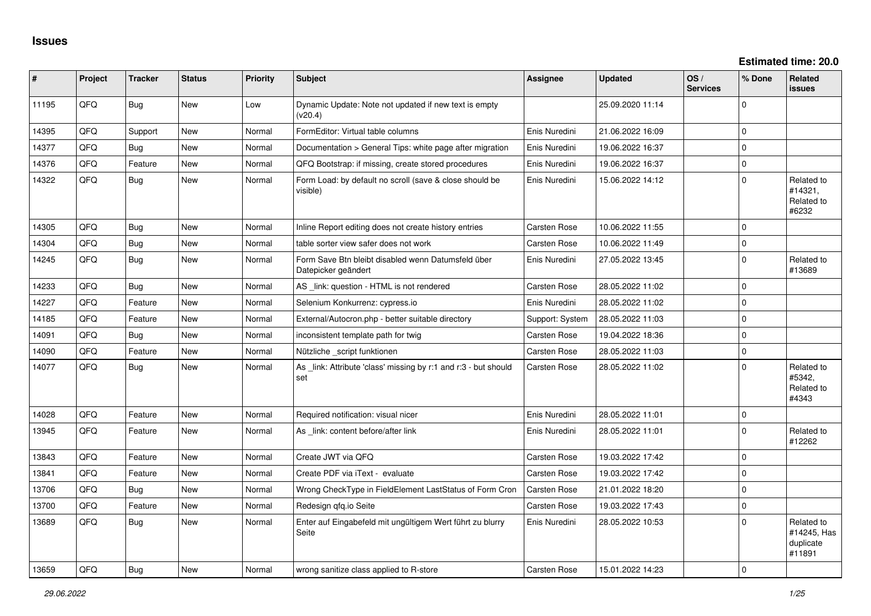| #     | Project | <b>Tracker</b> | <b>Status</b> | <b>Priority</b> | <b>Subject</b>                                                            | <b>Assignee</b> | <b>Updated</b>   | OS/<br><b>Services</b> | % Done       | Related<br><b>issues</b>                         |
|-------|---------|----------------|---------------|-----------------|---------------------------------------------------------------------------|-----------------|------------------|------------------------|--------------|--------------------------------------------------|
| 11195 | QFQ     | <b>Bug</b>     | <b>New</b>    | Low             | Dynamic Update: Note not updated if new text is empty<br>(v20.4)          |                 | 25.09.2020 11:14 |                        | $\Omega$     |                                                  |
| 14395 | QFQ     | Support        | <b>New</b>    | Normal          | FormEditor: Virtual table columns                                         | Enis Nuredini   | 21.06.2022 16:09 |                        | $\Omega$     |                                                  |
| 14377 | QFQ     | Bug            | New           | Normal          | Documentation > General Tips: white page after migration                  | Enis Nuredini   | 19.06.2022 16:37 |                        | $\mathbf 0$  |                                                  |
| 14376 | QFQ     | Feature        | <b>New</b>    | Normal          | QFQ Bootstrap: if missing, create stored procedures                       | Enis Nuredini   | 19.06.2022 16:37 |                        | $\Omega$     |                                                  |
| 14322 | QFQ     | Bug            | New           | Normal          | Form Load: by default no scroll (save & close should be<br>visible)       | Enis Nuredini   | 15.06.2022 14:12 |                        | $\mathbf 0$  | Related to<br>#14321.<br>Related to<br>#6232     |
| 14305 | QFQ     | <b>Bug</b>     | <b>New</b>    | Normal          | Inline Report editing does not create history entries                     | Carsten Rose    | 10.06.2022 11:55 |                        | $\Omega$     |                                                  |
| 14304 | QFQ     | <b>Bug</b>     | <b>New</b>    | Normal          | table sorter view safer does not work                                     | Carsten Rose    | 10.06.2022 11:49 |                        | $\mathbf 0$  |                                                  |
| 14245 | QFQ     | <b>Bug</b>     | New           | Normal          | Form Save Btn bleibt disabled wenn Datumsfeld über<br>Datepicker geändert | Enis Nuredini   | 27.05.2022 13:45 |                        | $\Omega$     | Related to<br>#13689                             |
| 14233 | QFQ     | <b>Bug</b>     | <b>New</b>    | Normal          | AS _link: question - HTML is not rendered                                 | Carsten Rose    | 28.05.2022 11:02 |                        | $\mathbf 0$  |                                                  |
| 14227 | QFQ     | Feature        | <b>New</b>    | Normal          | Selenium Konkurrenz: cypress.io                                           | Enis Nuredini   | 28.05.2022 11:02 |                        | $\mathbf 0$  |                                                  |
| 14185 | QFQ     | Feature        | New           | Normal          | External/Autocron.php - better suitable directory                         | Support: System | 28.05.2022 11:03 |                        | $\mathbf{0}$ |                                                  |
| 14091 | QFQ     | <b>Bug</b>     | <b>New</b>    | Normal          | inconsistent template path for twig                                       | Carsten Rose    | 19.04.2022 18:36 |                        | $\mathbf 0$  |                                                  |
| 14090 | QFQ     | Feature        | New           | Normal          | Nützliche _script funktionen                                              | Carsten Rose    | 28.05.2022 11:03 |                        | $\pmb{0}$    |                                                  |
| 14077 | QFQ     | Bug            | <b>New</b>    | Normal          | As link: Attribute 'class' missing by r:1 and r:3 - but should<br>set     | Carsten Rose    | 28.05.2022 11:02 |                        | $\Omega$     | Related to<br>#5342.<br>Related to<br>#4343      |
| 14028 | QFQ     | Feature        | <b>New</b>    | Normal          | Required notification: visual nicer                                       | Enis Nuredini   | 28.05.2022 11:01 |                        | $\mathbf 0$  |                                                  |
| 13945 | QFQ     | Feature        | New           | Normal          | As link: content before/after link                                        | Enis Nuredini   | 28.05.2022 11:01 |                        | $\Omega$     | Related to<br>#12262                             |
| 13843 | QFQ     | Feature        | <b>New</b>    | Normal          | Create JWT via QFQ                                                        | Carsten Rose    | 19.03.2022 17:42 |                        | $\Omega$     |                                                  |
| 13841 | QFQ     | Feature        | <b>New</b>    | Normal          | Create PDF via iText - evaluate                                           | Carsten Rose    | 19.03.2022 17:42 |                        | $\mathbf 0$  |                                                  |
| 13706 | QFQ     | <b>Bug</b>     | <b>New</b>    | Normal          | Wrong CheckType in FieldElement LastStatus of Form Cron                   | Carsten Rose    | 21.01.2022 18:20 |                        | $\mathbf 0$  |                                                  |
| 13700 | QFQ     | Feature        | New           | Normal          | Redesign gfg.io Seite                                                     | Carsten Rose    | 19.03.2022 17:43 |                        | $\mathbf 0$  |                                                  |
| 13689 | QFQ     | <b>Bug</b>     | New           | Normal          | Enter auf Eingabefeld mit ungültigem Wert führt zu blurry<br>Seite        | Enis Nuredini   | 28.05.2022 10:53 |                        | $\Omega$     | Related to<br>#14245, Has<br>duplicate<br>#11891 |
| 13659 | QFQ     | Bug            | New           | Normal          | wrong sanitize class applied to R-store                                   | Carsten Rose    | 15.01.2022 14:23 |                        | $\Omega$     |                                                  |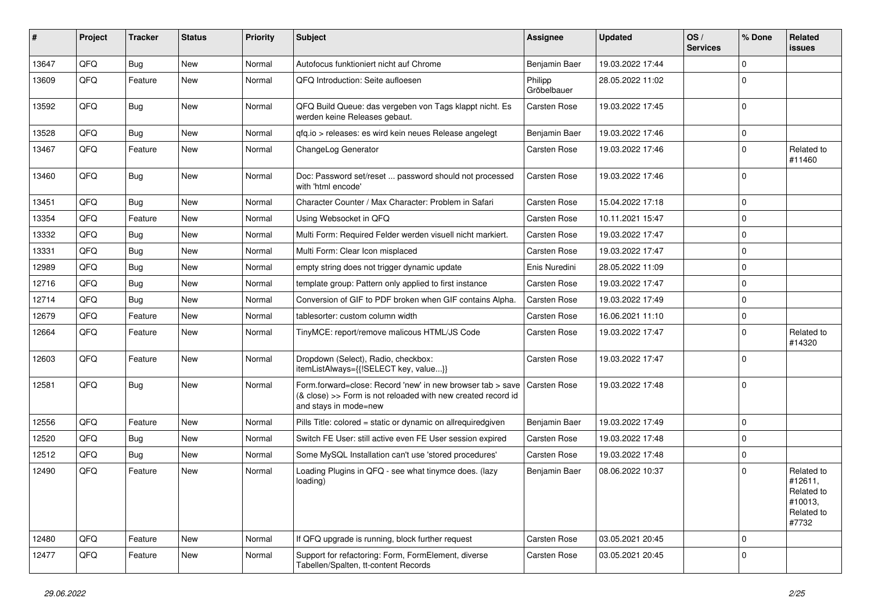| #     | Project | <b>Tracker</b> | <b>Status</b> | <b>Priority</b> | <b>Subject</b>                                                                                                                                      | <b>Assignee</b>        | <b>Updated</b>   | OS/<br><b>Services</b> | % Done       | Related<br>issues                                                     |
|-------|---------|----------------|---------------|-----------------|-----------------------------------------------------------------------------------------------------------------------------------------------------|------------------------|------------------|------------------------|--------------|-----------------------------------------------------------------------|
| 13647 | QFQ     | Bug            | New           | Normal          | Autofocus funktioniert nicht auf Chrome                                                                                                             | Benjamin Baer          | 19.03.2022 17:44 |                        | $\Omega$     |                                                                       |
| 13609 | QFQ     | Feature        | New           | Normal          | QFQ Introduction: Seite aufloesen                                                                                                                   | Philipp<br>Gröbelbauer | 28.05.2022 11:02 |                        | $\mathbf 0$  |                                                                       |
| 13592 | QFQ     | Bug            | New           | Normal          | QFQ Build Queue: das vergeben von Tags klappt nicht. Es<br>werden keine Releases gebaut.                                                            | Carsten Rose           | 19.03.2022 17:45 |                        | $\mathbf 0$  |                                                                       |
| 13528 | QFQ     | Bug            | <b>New</b>    | Normal          | qfq.io > releases: es wird kein neues Release angelegt                                                                                              | Benjamin Baer          | 19.03.2022 17:46 |                        | $\mathbf 0$  |                                                                       |
| 13467 | QFQ     | Feature        | <b>New</b>    | Normal          | ChangeLog Generator                                                                                                                                 | Carsten Rose           | 19.03.2022 17:46 |                        | $\mathbf 0$  | Related to<br>#11460                                                  |
| 13460 | QFQ     | <b>Bug</b>     | <b>New</b>    | Normal          | Doc: Password set/reset  password should not processed<br>with 'html encode'                                                                        | <b>Carsten Rose</b>    | 19.03.2022 17:46 |                        | $\mathbf 0$  |                                                                       |
| 13451 | QFQ     | <b>Bug</b>     | <b>New</b>    | Normal          | Character Counter / Max Character: Problem in Safari                                                                                                | Carsten Rose           | 15.04.2022 17:18 |                        | $\mathbf 0$  |                                                                       |
| 13354 | QFQ     | Feature        | <b>New</b>    | Normal          | Using Websocket in QFQ                                                                                                                              | Carsten Rose           | 10.11.2021 15:47 |                        | $\mathbf 0$  |                                                                       |
| 13332 | QFQ     | Bug            | New           | Normal          | Multi Form: Required Felder werden visuell nicht markiert.                                                                                          | Carsten Rose           | 19.03.2022 17:47 |                        | $\mathbf 0$  |                                                                       |
| 13331 | QFQ     | Bug            | <b>New</b>    | Normal          | Multi Form: Clear Icon misplaced                                                                                                                    | Carsten Rose           | 19.03.2022 17:47 |                        | $\mathbf 0$  |                                                                       |
| 12989 | QFQ     | <b>Bug</b>     | <b>New</b>    | Normal          | empty string does not trigger dynamic update                                                                                                        | Enis Nuredini          | 28.05.2022 11:09 |                        | $\mathbf{0}$ |                                                                       |
| 12716 | QFQ     | Bug            | <b>New</b>    | Normal          | template group: Pattern only applied to first instance                                                                                              | Carsten Rose           | 19.03.2022 17:47 |                        | $\mathbf 0$  |                                                                       |
| 12714 | QFQ     | Bug            | <b>New</b>    | Normal          | Conversion of GIF to PDF broken when GIF contains Alpha.                                                                                            | Carsten Rose           | 19.03.2022 17:49 |                        | $\mathbf 0$  |                                                                       |
| 12679 | QFQ     | Feature        | <b>New</b>    | Normal          | tablesorter: custom column width                                                                                                                    | Carsten Rose           | 16.06.2021 11:10 |                        | $\mathbf 0$  |                                                                       |
| 12664 | QFQ     | Feature        | New           | Normal          | TinyMCE: report/remove malicous HTML/JS Code                                                                                                        | Carsten Rose           | 19.03.2022 17:47 |                        | $\mathbf 0$  | Related to<br>#14320                                                  |
| 12603 | QFQ     | Feature        | New           | Normal          | Dropdown (Select), Radio, checkbox:<br>itemListAlways={{!SELECT key, value}}                                                                        | Carsten Rose           | 19.03.2022 17:47 |                        | $\mathbf 0$  |                                                                       |
| 12581 | QFQ     | <b>Bug</b>     | <b>New</b>    | Normal          | Form.forward=close: Record 'new' in new browser tab > save<br>(& close) >> Form is not reloaded with new created record id<br>and stays in mode=new | Carsten Rose           | 19.03.2022 17:48 |                        | $\mathbf 0$  |                                                                       |
| 12556 | QFQ     | Feature        | New           | Normal          | Pills Title: colored = static or dynamic on allrequiredgiven                                                                                        | Benjamin Baer          | 19.03.2022 17:49 |                        | $\mathbf{0}$ |                                                                       |
| 12520 | QFQ     | <b>Bug</b>     | <b>New</b>    | Normal          | Switch FE User: still active even FE User session expired                                                                                           | Carsten Rose           | 19.03.2022 17:48 |                        | $\mathbf 0$  |                                                                       |
| 12512 | QFQ     | Bug            | New           | Normal          | Some MySQL Installation can't use 'stored procedures'                                                                                               | Carsten Rose           | 19.03.2022 17:48 |                        | $\mathbf 0$  |                                                                       |
| 12490 | QFQ     | Feature        | New           | Normal          | Loading Plugins in QFQ - see what tinymce does. (lazy<br>loading)                                                                                   | Benjamin Baer          | 08.06.2022 10:37 |                        | $\mathbf 0$  | Related to<br>#12611,<br>Related to<br>#10013,<br>Related to<br>#7732 |
| 12480 | QFQ     | Feature        | New           | Normal          | If QFQ upgrade is running, block further request                                                                                                    | Carsten Rose           | 03.05.2021 20:45 |                        | $\mathbf{0}$ |                                                                       |
| 12477 | QFQ     | Feature        | New           | Normal          | Support for refactoring: Form, FormElement, diverse<br>Tabellen/Spalten, tt-content Records                                                         | Carsten Rose           | 03.05.2021 20:45 |                        | $\mathbf{0}$ |                                                                       |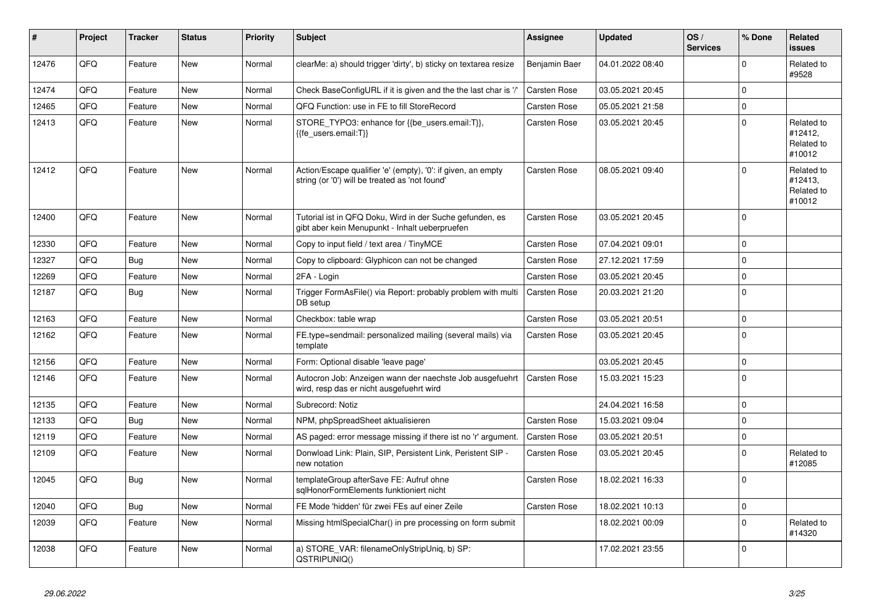| #     | <b>Project</b> | <b>Tracker</b> | <b>Status</b> | <b>Priority</b> | <b>Subject</b>                                                                                                 | <b>Assignee</b>     | <b>Updated</b>   | OS/<br><b>Services</b> | % Done      | Related<br><b>issues</b>                      |
|-------|----------------|----------------|---------------|-----------------|----------------------------------------------------------------------------------------------------------------|---------------------|------------------|------------------------|-------------|-----------------------------------------------|
| 12476 | QFQ            | Feature        | <b>New</b>    | Normal          | clearMe: a) should trigger 'dirty', b) sticky on textarea resize                                               | Benjamin Baer       | 04.01.2022 08:40 |                        | $\Omega$    | Related to<br>#9528                           |
| 12474 | QFQ            | Feature        | <b>New</b>    | Normal          | Check BaseConfigURL if it is given and the the last char is '/'                                                | Carsten Rose        | 03.05.2021 20:45 |                        | $\mathbf 0$ |                                               |
| 12465 | QFQ            | Feature        | New           | Normal          | QFQ Function: use in FE to fill StoreRecord                                                                    | Carsten Rose        | 05.05.2021 21:58 |                        | $\mathbf 0$ |                                               |
| 12413 | QFQ            | Feature        | New           | Normal          | STORE TYPO3: enhance for {{be users.email:T}},<br>{fe_users.email:T}}                                          | Carsten Rose        | 03.05.2021 20:45 |                        | $\mathbf 0$ | Related to<br>#12412,<br>Related to<br>#10012 |
| 12412 | QFQ            | Feature        | <b>New</b>    | Normal          | Action/Escape qualifier 'e' (empty), '0': if given, an empty<br>string (or '0') will be treated as 'not found' | Carsten Rose        | 08.05.2021 09:40 |                        | $\Omega$    | Related to<br>#12413.<br>Related to<br>#10012 |
| 12400 | QFQ            | Feature        | New           | Normal          | Tutorial ist in QFQ Doku, Wird in der Suche gefunden, es<br>gibt aber kein Menupunkt - Inhalt ueberpruefen     | Carsten Rose        | 03.05.2021 20:45 |                        | $\Omega$    |                                               |
| 12330 | QFQ            | Feature        | <b>New</b>    | Normal          | Copy to input field / text area / TinyMCE                                                                      | Carsten Rose        | 07.04.2021 09:01 |                        | $\mathbf 0$ |                                               |
| 12327 | QFQ            | <b>Bug</b>     | <b>New</b>    | Normal          | Copy to clipboard: Glyphicon can not be changed                                                                | Carsten Rose        | 27.12.2021 17:59 |                        | $\Omega$    |                                               |
| 12269 | QFQ            | Feature        | <b>New</b>    | Normal          | 2FA - Login                                                                                                    | <b>Carsten Rose</b> | 03.05.2021 20:45 |                        | $\mathbf 0$ |                                               |
| 12187 | QFQ            | <b>Bug</b>     | <b>New</b>    | Normal          | Trigger FormAsFile() via Report: probably problem with multi<br>DB setup                                       | <b>Carsten Rose</b> | 20.03.2021 21:20 |                        | $\Omega$    |                                               |
| 12163 | QFQ            | Feature        | <b>New</b>    | Normal          | Checkbox: table wrap                                                                                           | Carsten Rose        | 03.05.2021 20:51 |                        | $\mathbf 0$ |                                               |
| 12162 | QFQ            | Feature        | <b>New</b>    | Normal          | FE.type=sendmail: personalized mailing (several mails) via<br>template                                         | Carsten Rose        | 03.05.2021 20:45 |                        | $\Omega$    |                                               |
| 12156 | QFQ            | Feature        | <b>New</b>    | Normal          | Form: Optional disable 'leave page'                                                                            |                     | 03.05.2021 20:45 |                        | $\mathbf 0$ |                                               |
| 12146 | QFQ            | Feature        | New           | Normal          | Autocron Job: Anzeigen wann der naechste Job ausgefuehrt<br>wird, resp das er nicht ausgefuehrt wird           | Carsten Rose        | 15.03.2021 15:23 |                        | $\mathbf 0$ |                                               |
| 12135 | QFQ            | Feature        | New           | Normal          | Subrecord: Notiz                                                                                               |                     | 24.04.2021 16:58 |                        | $\Omega$    |                                               |
| 12133 | QFQ            | Bug            | <b>New</b>    | Normal          | NPM, phpSpreadSheet aktualisieren                                                                              | Carsten Rose        | 15.03.2021 09:04 |                        | $\mathbf 0$ |                                               |
| 12119 | QFQ            | Feature        | New           | Normal          | AS paged: error message missing if there ist no 'r' argument.                                                  | <b>Carsten Rose</b> | 03.05.2021 20:51 |                        | $\mathbf 0$ |                                               |
| 12109 | QFQ            | Feature        | <b>New</b>    | Normal          | Donwload Link: Plain, SIP, Persistent Link, Peristent SIP -<br>new notation                                    | Carsten Rose        | 03.05.2021 20:45 |                        | $\mathbf 0$ | Related to<br>#12085                          |
| 12045 | QFQ            | Bug            | New           | Normal          | templateGroup afterSave FE: Aufruf ohne<br>sqlHonorFormElements funktioniert nicht                             | Carsten Rose        | 18.02.2021 16:33 |                        | $\Omega$    |                                               |
| 12040 | QFQ            | <b>Bug</b>     | <b>New</b>    | Normal          | FE Mode 'hidden' für zwei FEs auf einer Zeile                                                                  | Carsten Rose        | 18.02.2021 10:13 |                        | $\mathbf 0$ |                                               |
| 12039 | QFQ            | Feature        | <b>New</b>    | Normal          | Missing htmlSpecialChar() in pre processing on form submit                                                     |                     | 18.02.2021 00:09 |                        | $\Omega$    | Related to<br>#14320                          |
| 12038 | QFQ            | Feature        | New           | Normal          | a) STORE_VAR: filenameOnlyStripUniq, b) SP:<br>QSTRIPUNIQ()                                                    |                     | 17.02.2021 23:55 |                        | $\Omega$    |                                               |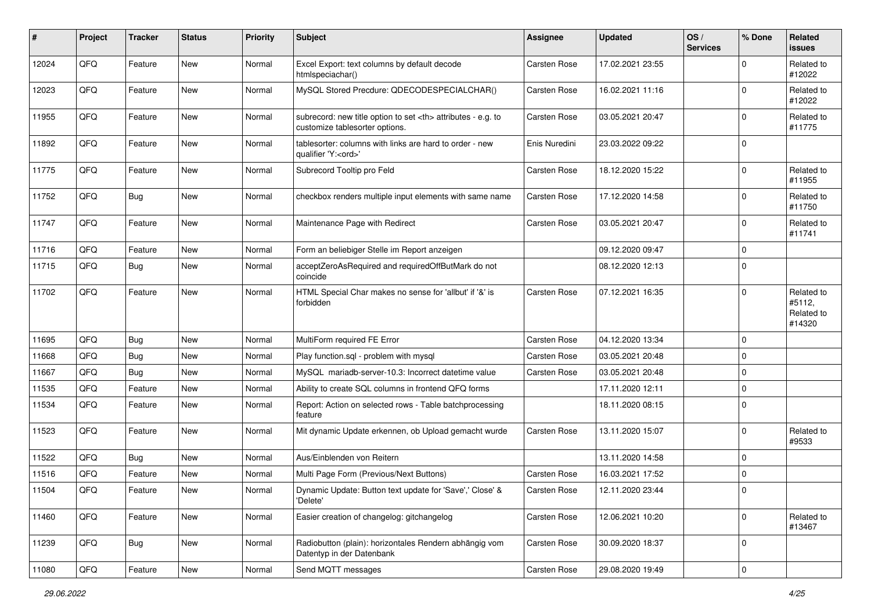| #     | Project | <b>Tracker</b> | <b>Status</b> | <b>Priority</b> | <b>Subject</b>                                                                                       | <b>Assignee</b>                                        | <b>Updated</b>      | OS/<br><b>Services</b> | % Done      | Related<br>issues                            |                      |
|-------|---------|----------------|---------------|-----------------|------------------------------------------------------------------------------------------------------|--------------------------------------------------------|---------------------|------------------------|-------------|----------------------------------------------|----------------------|
| 12024 | QFQ     | Feature        | <b>New</b>    | Normal          | Excel Export: text columns by default decode<br>htmlspeciachar()                                     | Carsten Rose                                           | 17.02.2021 23:55    |                        | $\Omega$    | Related to<br>#12022                         |                      |
| 12023 | QFQ     | Feature        | New           | Normal          | MySQL Stored Precdure: QDECODESPECIALCHAR()                                                          | Carsten Rose                                           | 16.02.2021 11:16    |                        | $\mathbf 0$ | Related to<br>#12022                         |                      |
| 11955 | QFQ     | Feature        | New           | Normal          | subrecord: new title option to set <th> attributes - e.g. to<br/>customize tablesorter options.</th> | attributes - e.g. to<br>customize tablesorter options. | <b>Carsten Rose</b> | 03.05.2021 20:47       |             | $\Omega$                                     | Related to<br>#11775 |
| 11892 | QFQ     | Feature        | New           | Normal          | tablesorter: columns with links are hard to order - new<br>qualifier 'Y: <ord>'</ord>                | Enis Nuredini                                          | 23.03.2022 09:22    |                        | $\mathbf 0$ |                                              |                      |
| 11775 | QFQ     | Feature        | New           | Normal          | Subrecord Tooltip pro Feld                                                                           | Carsten Rose                                           | 18.12.2020 15:22    |                        | $\mathbf 0$ | Related to<br>#11955                         |                      |
| 11752 | QFQ     | Bug            | <b>New</b>    | Normal          | checkbox renders multiple input elements with same name                                              | <b>Carsten Rose</b>                                    | 17.12.2020 14:58    |                        | $\Omega$    | Related to<br>#11750                         |                      |
| 11747 | QFQ     | Feature        | New           | Normal          | Maintenance Page with Redirect                                                                       | <b>Carsten Rose</b>                                    | 03.05.2021 20:47    |                        | $\mathbf 0$ | Related to<br>#11741                         |                      |
| 11716 | QFQ     | Feature        | <b>New</b>    | Normal          | Form an beliebiger Stelle im Report anzeigen                                                         |                                                        | 09.12.2020 09:47    |                        | $\mathbf 0$ |                                              |                      |
| 11715 | QFQ     | Bug            | New           | Normal          | acceptZeroAsRequired and requiredOffButMark do not<br>coincide                                       |                                                        | 08.12.2020 12:13    |                        | $\mathbf 0$ |                                              |                      |
| 11702 | QFQ     | Feature        | New           | Normal          | HTML Special Char makes no sense for 'allbut' if '&' is<br>forbidden                                 | Carsten Rose                                           | 07.12.2021 16:35    |                        | $\Omega$    | Related to<br>#5112,<br>Related to<br>#14320 |                      |
| 11695 | QFQ     | Bug            | <b>New</b>    | Normal          | MultiForm required FE Error                                                                          | <b>Carsten Rose</b>                                    | 04.12.2020 13:34    |                        | $\mathbf 0$ |                                              |                      |
| 11668 | QFQ     | <b>Bug</b>     | <b>New</b>    | Normal          | Play function.sql - problem with mysql                                                               | <b>Carsten Rose</b>                                    | 03.05.2021 20:48    |                        | $\mathbf 0$ |                                              |                      |
| 11667 | QFQ     | Bug            | <b>New</b>    | Normal          | MySQL mariadb-server-10.3: Incorrect datetime value                                                  | Carsten Rose                                           | 03.05.2021 20:48    |                        | $\mathbf 0$ |                                              |                      |
| 11535 | QFQ     | Feature        | <b>New</b>    | Normal          | Ability to create SQL columns in frontend QFQ forms                                                  |                                                        | 17.11.2020 12:11    |                        | $\mathbf 0$ |                                              |                      |
| 11534 | QFQ     | Feature        | New           | Normal          | Report: Action on selected rows - Table batchprocessing<br>feature                                   |                                                        | 18.11.2020 08:15    |                        | $\mathbf 0$ |                                              |                      |
| 11523 | QFQ     | Feature        | <b>New</b>    | Normal          | Mit dynamic Update erkennen, ob Upload gemacht wurde                                                 | Carsten Rose                                           | 13.11.2020 15:07    |                        | $\mathbf 0$ | Related to<br>#9533                          |                      |
| 11522 | QFQ     | Bug            | <b>New</b>    | Normal          | Aus/Einblenden von Reitern                                                                           |                                                        | 13.11.2020 14:58    |                        | $\Omega$    |                                              |                      |
| 11516 | QFQ     | Feature        | New           | Normal          | Multi Page Form (Previous/Next Buttons)                                                              | <b>Carsten Rose</b>                                    | 16.03.2021 17:52    |                        | $\mathbf 0$ |                                              |                      |
| 11504 | QFQ     | Feature        | New           | Normal          | Dynamic Update: Button text update for 'Save',' Close' &<br>'Delete'                                 | Carsten Rose                                           | 12.11.2020 23:44    |                        | $\Omega$    |                                              |                      |
| 11460 | QFQ     | Feature        | New           | Normal          | Easier creation of changelog: gitchangelog                                                           | Carsten Rose                                           | 12.06.2021 10:20    |                        | $\Omega$    | Related to<br>#13467                         |                      |
| 11239 | QFQ     | Bug            | New           | Normal          | Radiobutton (plain): horizontales Rendern abhängig vom<br>Datentyp in der Datenbank                  | Carsten Rose                                           | 30.09.2020 18:37    |                        | $\mathbf 0$ |                                              |                      |
| 11080 | QFQ     | Feature        | New           | Normal          | Send MQTT messages                                                                                   | Carsten Rose                                           | 29.08.2020 19:49    |                        | $\pmb{0}$   |                                              |                      |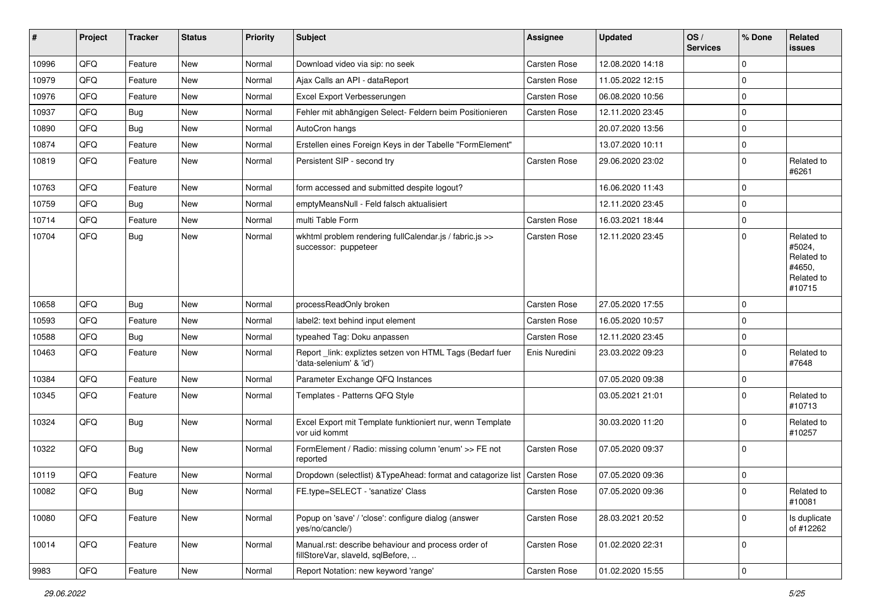| #     | Project | <b>Tracker</b> | <b>Status</b> | <b>Priority</b> | Subject                                                                                  | <b>Assignee</b>     | <b>Updated</b>   | OS/<br><b>Services</b> | % Done      | Related<br>issues                                                    |
|-------|---------|----------------|---------------|-----------------|------------------------------------------------------------------------------------------|---------------------|------------------|------------------------|-------------|----------------------------------------------------------------------|
| 10996 | QFQ     | Feature        | <b>New</b>    | Normal          | Download video via sip: no seek                                                          | Carsten Rose        | 12.08.2020 14:18 |                        | $\Omega$    |                                                                      |
| 10979 | QFQ     | Feature        | New           | Normal          | Ajax Calls an API - dataReport                                                           | Carsten Rose        | 11.05.2022 12:15 |                        | $\mathbf 0$ |                                                                      |
| 10976 | QFQ     | Feature        | New           | Normal          | Excel Export Verbesserungen                                                              | Carsten Rose        | 06.08.2020 10:56 |                        | $\mathbf 0$ |                                                                      |
| 10937 | QFQ     | Bug            | New           | Normal          | Fehler mit abhängigen Select- Feldern beim Positionieren                                 | Carsten Rose        | 12.11.2020 23:45 |                        | $\mathbf 0$ |                                                                      |
| 10890 | QFQ     | Bug            | New           | Normal          | AutoCron hangs                                                                           |                     | 20.07.2020 13:56 |                        | $\mathbf 0$ |                                                                      |
| 10874 | QFQ     | Feature        | <b>New</b>    | Normal          | Erstellen eines Foreign Keys in der Tabelle "FormElement"                                |                     | 13.07.2020 10:11 |                        | $\mathbf 0$ |                                                                      |
| 10819 | QFQ     | Feature        | New           | Normal          | Persistent SIP - second try                                                              | Carsten Rose        | 29.06.2020 23:02 |                        | $\mathbf 0$ | Related to<br>#6261                                                  |
| 10763 | QFQ     | Feature        | <b>New</b>    | Normal          | form accessed and submitted despite logout?                                              |                     | 16.06.2020 11:43 |                        | $\mathbf 0$ |                                                                      |
| 10759 | QFQ     | Bug            | New           | Normal          | emptyMeansNull - Feld falsch aktualisiert                                                |                     | 12.11.2020 23:45 |                        | $\mathbf 0$ |                                                                      |
| 10714 | QFQ     | Feature        | New           | Normal          | multi Table Form                                                                         | <b>Carsten Rose</b> | 16.03.2021 18:44 |                        | $\mathbf 0$ |                                                                      |
| 10704 | QFQ     | Bug            | New           | Normal          | wkhtml problem rendering fullCalendar.js / fabric.js >><br>successor: puppeteer          | Carsten Rose        | 12.11.2020 23:45 |                        | $\Omega$    | Related to<br>#5024,<br>Related to<br>#4650,<br>Related to<br>#10715 |
| 10658 | QFQ     | Bug            | New           | Normal          | processReadOnly broken                                                                   | <b>Carsten Rose</b> | 27.05.2020 17:55 |                        | $\mathbf 0$ |                                                                      |
| 10593 | QFQ     | Feature        | New           | Normal          | label2: text behind input element                                                        | Carsten Rose        | 16.05.2020 10:57 |                        | $\Omega$    |                                                                      |
| 10588 | QFQ     | Bug            | <b>New</b>    | Normal          | typeahed Tag: Doku anpassen                                                              | Carsten Rose        | 12.11.2020 23:45 |                        | $\mathbf 0$ |                                                                      |
| 10463 | QFQ     | Feature        | New           | Normal          | Report_link: expliztes setzen von HTML Tags (Bedarf fuer<br>'data-selenium' & 'id')      | Enis Nuredini       | 23.03.2022 09:23 |                        | $\mathbf 0$ | Related to<br>#7648                                                  |
| 10384 | QFQ     | Feature        | New           | Normal          | Parameter Exchange QFQ Instances                                                         |                     | 07.05.2020 09:38 |                        | $\mathbf 0$ |                                                                      |
| 10345 | QFQ     | Feature        | New           | Normal          | Templates - Patterns QFQ Style                                                           |                     | 03.05.2021 21:01 |                        | $\Omega$    | Related to<br>#10713                                                 |
| 10324 | QFQ     | Bug            | <b>New</b>    | Normal          | Excel Export mit Template funktioniert nur, wenn Template<br>vor uid kommt               |                     | 30.03.2020 11:20 |                        | $\mathbf 0$ | Related to<br>#10257                                                 |
| 10322 | QFQ     | Bug            | <b>New</b>    | Normal          | FormElement / Radio: missing column 'enum' >> FE not<br>reported                         | Carsten Rose        | 07.05.2020 09:37 |                        | $\mathbf 0$ |                                                                      |
| 10119 | QFQ     | Feature        | New           | Normal          | Dropdown (selectlist) & TypeAhead: format and catagorize list                            | <b>Carsten Rose</b> | 07.05.2020 09:36 |                        | $\mathbf 0$ |                                                                      |
| 10082 | QFQ     | Bug            | New           | Normal          | FE.type=SELECT - 'sanatize' Class                                                        | Carsten Rose        | 07.05.2020 09:36 |                        | $\mathbf 0$ | Related to<br>#10081                                                 |
| 10080 | QFQ     | Feature        | New           | Normal          | Popup on 'save' / 'close': configure dialog (answer<br>yes/no/cancle/)                   | Carsten Rose        | 28.03.2021 20:52 |                        | $\mathbf 0$ | Is duplicate<br>of #12262                                            |
| 10014 | QFQ     | Feature        | New           | Normal          | Manual.rst: describe behaviour and process order of<br>fillStoreVar, slaveId, sqlBefore, | Carsten Rose        | 01.02.2020 22:31 |                        | $\mathbf 0$ |                                                                      |
| 9983  | QFQ     | Feature        | New           | Normal          | Report Notation: new keyword 'range'                                                     | Carsten Rose        | 01.02.2020 15:55 |                        | $\mathbf 0$ |                                                                      |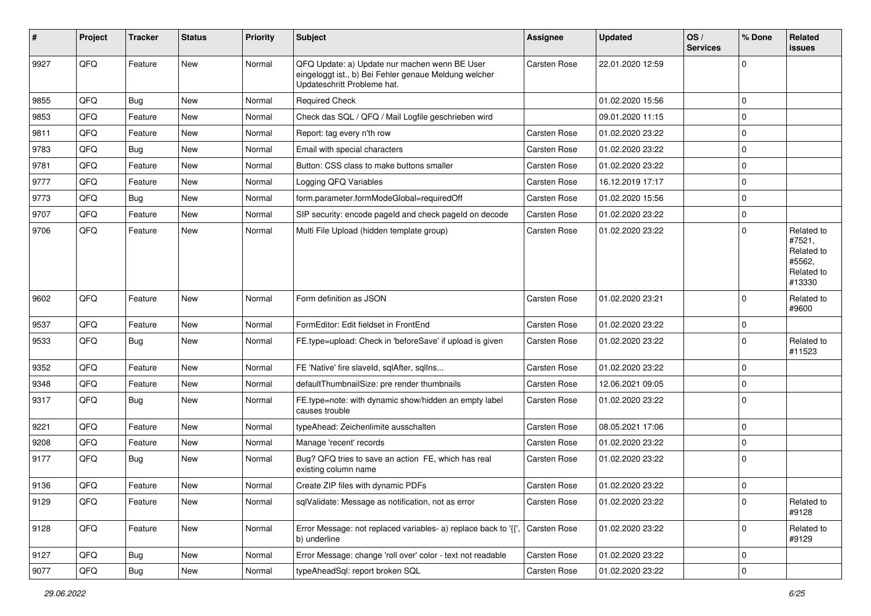| ∦    | Project | <b>Tracker</b> | <b>Status</b> | <b>Priority</b> | Subject                                                                                                                               | <b>Assignee</b>     | <b>Updated</b>   | OS/<br><b>Services</b> | % Done      | Related<br><b>issues</b>                                             |
|------|---------|----------------|---------------|-----------------|---------------------------------------------------------------------------------------------------------------------------------------|---------------------|------------------|------------------------|-------------|----------------------------------------------------------------------|
| 9927 | QFQ     | Feature        | New           | Normal          | QFQ Update: a) Update nur machen wenn BE User<br>eingeloggt ist., b) Bei Fehler genaue Meldung welcher<br>Updateschritt Probleme hat. | Carsten Rose        | 22.01.2020 12:59 |                        | 0           |                                                                      |
| 9855 | QFQ     | Bug            | <b>New</b>    | Normal          | <b>Required Check</b>                                                                                                                 |                     | 01.02.2020 15:56 |                        | $\Omega$    |                                                                      |
| 9853 | QFQ     | Feature        | <b>New</b>    | Normal          | Check das SQL / QFQ / Mail Logfile geschrieben wird                                                                                   |                     | 09.01.2020 11:15 |                        | 0           |                                                                      |
| 9811 | QFQ     | Feature        | New           | Normal          | Report: tag every n'th row                                                                                                            | Carsten Rose        | 01.02.2020 23:22 |                        | $\Omega$    |                                                                      |
| 9783 | QFQ     | Bug            | <b>New</b>    | Normal          | Email with special characters                                                                                                         | <b>Carsten Rose</b> | 01.02.2020 23:22 |                        | 0           |                                                                      |
| 9781 | QFQ     | Feature        | New           | Normal          | Button: CSS class to make buttons smaller                                                                                             | <b>Carsten Rose</b> | 01.02.2020 23:22 |                        | 0           |                                                                      |
| 9777 | QFQ     | Feature        | <b>New</b>    | Normal          | Logging QFQ Variables                                                                                                                 | Carsten Rose        | 16.12.2019 17:17 |                        | 0           |                                                                      |
| 9773 | QFQ     | <b>Bug</b>     | <b>New</b>    | Normal          | form.parameter.formModeGlobal=requiredOff                                                                                             | Carsten Rose        | 01.02.2020 15:56 |                        | $\Omega$    |                                                                      |
| 9707 | QFQ     | Feature        | <b>New</b>    | Normal          | SIP security: encode pageld and check pageld on decode                                                                                | <b>Carsten Rose</b> | 01.02.2020 23:22 |                        | 0           |                                                                      |
| 9706 | QFQ     | Feature        | <b>New</b>    | Normal          | Multi File Upload (hidden template group)                                                                                             | Carsten Rose        | 01.02.2020 23:22 |                        | 0           | Related to<br>#7521,<br>Related to<br>#5562,<br>Related to<br>#13330 |
| 9602 | QFQ     | Feature        | <b>New</b>    | Normal          | Form definition as JSON                                                                                                               | Carsten Rose        | 01.02.2020 23:21 |                        | 0           | Related to<br>#9600                                                  |
| 9537 | QFQ     | Feature        | <b>New</b>    | Normal          | FormEditor: Edit fieldset in FrontEnd                                                                                                 | Carsten Rose        | 01.02.2020 23:22 |                        | 0           |                                                                      |
| 9533 | QFQ     | <b>Bug</b>     | New           | Normal          | FE.type=upload: Check in 'beforeSave' if upload is given                                                                              | <b>Carsten Rose</b> | 01.02.2020 23:22 |                        | 0           | Related to<br>#11523                                                 |
| 9352 | QFQ     | Feature        | <b>New</b>    | Normal          | FE 'Native' fire slaveld, sqlAfter, sqlIns                                                                                            | Carsten Rose        | 01.02.2020 23:22 |                        | 0           |                                                                      |
| 9348 | QFQ     | Feature        | <b>New</b>    | Normal          | defaultThumbnailSize: pre render thumbnails                                                                                           | Carsten Rose        | 12.06.2021 09:05 |                        | 0           |                                                                      |
| 9317 | QFQ     | Bug            | New           | Normal          | FE.type=note: with dynamic show/hidden an empty label<br>causes trouble                                                               | <b>Carsten Rose</b> | 01.02.2020 23:22 |                        | 0           |                                                                      |
| 9221 | QFQ     | Feature        | New           | Normal          | typeAhead: Zeichenlimite ausschalten                                                                                                  | Carsten Rose        | 08.05.2021 17:06 |                        | 0           |                                                                      |
| 9208 | QFQ     | Feature        | New           | Normal          | Manage 'recent' records                                                                                                               | Carsten Rose        | 01.02.2020 23:22 |                        | 0           |                                                                      |
| 9177 | QFQ     | <b>Bug</b>     | New           | Normal          | Bug? QFQ tries to save an action FE, which has real<br>existing column name                                                           | <b>Carsten Rose</b> | 01.02.2020 23:22 |                        | 0           |                                                                      |
| 9136 | QFQ     | Feature        | <b>New</b>    | Normal          | Create ZIP files with dynamic PDFs                                                                                                    | <b>Carsten Rose</b> | 01.02.2020 23:22 |                        | 0           |                                                                      |
| 9129 | QFQ     | Feature        | New           | Normal          | sqlValidate: Message as notification, not as error                                                                                    | Carsten Rose        | 01.02.2020 23:22 |                        | 0           | Related to<br>#9128                                                  |
| 9128 | QFQ     | Feature        | New           | Normal          | Error Message: not replaced variables- a) replace back to '{',<br>b) underline                                                        | Carsten Rose        | 01.02.2020 23:22 |                        | 0           | Related to<br>#9129                                                  |
| 9127 | QFQ     | <b>Bug</b>     | New           | Normal          | Error Message: change 'roll over' color - text not readable                                                                           | Carsten Rose        | 01.02.2020 23:22 |                        | 0           |                                                                      |
| 9077 | QFG     | <b>Bug</b>     | New           | Normal          | typeAheadSql: report broken SQL                                                                                                       | Carsten Rose        | 01.02.2020 23:22 |                        | $\mathbf 0$ |                                                                      |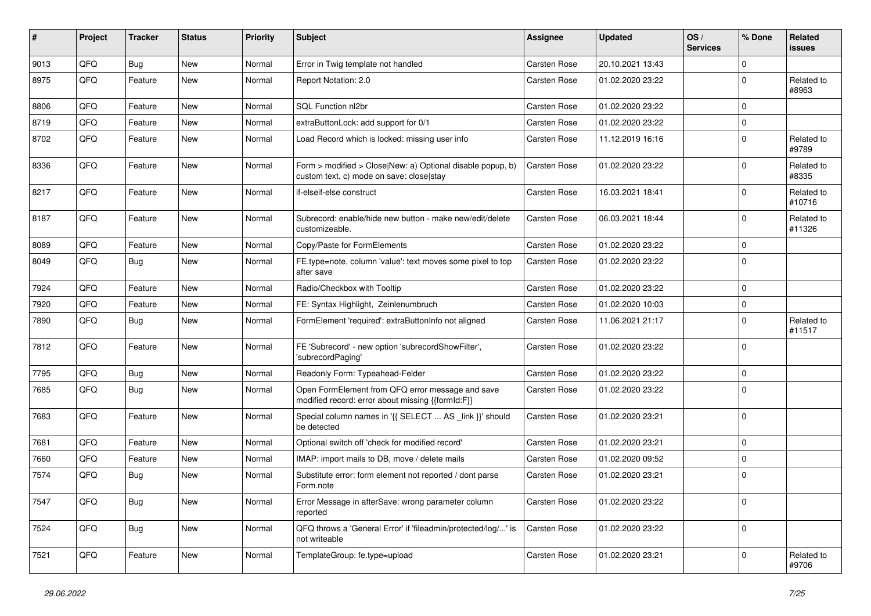| #    | Project | <b>Tracker</b> | <b>Status</b> | <b>Priority</b> | Subject                                                                                                | <b>Assignee</b>     | <b>Updated</b>   | OS/<br><b>Services</b> | % Done      | <b>Related</b><br>issues |
|------|---------|----------------|---------------|-----------------|--------------------------------------------------------------------------------------------------------|---------------------|------------------|------------------------|-------------|--------------------------|
| 9013 | QFQ     | Bug            | New           | Normal          | Error in Twig template not handled                                                                     | <b>Carsten Rose</b> | 20.10.2021 13:43 |                        | $\Omega$    |                          |
| 8975 | QFQ     | Feature        | New           | Normal          | Report Notation: 2.0                                                                                   | Carsten Rose        | 01.02.2020 23:22 |                        | $\mathbf 0$ | Related to<br>#8963      |
| 8806 | QFQ     | Feature        | <b>New</b>    | Normal          | <b>SQL Function nl2br</b>                                                                              | <b>Carsten Rose</b> | 01.02.2020 23:22 |                        | $\mathbf 0$ |                          |
| 8719 | QFQ     | Feature        | New           | Normal          | extraButtonLock: add support for 0/1                                                                   | Carsten Rose        | 01.02.2020 23:22 |                        | $\mathbf 0$ |                          |
| 8702 | QFQ     | Feature        | New           | Normal          | Load Record which is locked: missing user info                                                         | <b>Carsten Rose</b> | 11.12.2019 16:16 |                        | $\mathbf 0$ | Related to<br>#9789      |
| 8336 | QFQ     | Feature        | <b>New</b>    | Normal          | Form > modified > Close New: a) Optional disable popup, b)<br>custom text, c) mode on save: close stay | Carsten Rose        | 01.02.2020 23:22 |                        | $\Omega$    | Related to<br>#8335      |
| 8217 | QFQ     | Feature        | New           | Normal          | if-elseif-else construct                                                                               | <b>Carsten Rose</b> | 16.03.2021 18:41 |                        | $\mathbf 0$ | Related to<br>#10716     |
| 8187 | QFQ     | Feature        | New           | Normal          | Subrecord: enable/hide new button - make new/edit/delete<br>customizeable.                             | <b>Carsten Rose</b> | 06.03.2021 18:44 |                        | $\mathbf 0$ | Related to<br>#11326     |
| 8089 | QFQ     | Feature        | New           | Normal          | Copy/Paste for FormElements                                                                            | Carsten Rose        | 01.02.2020 23:22 |                        | $\mathbf 0$ |                          |
| 8049 | QFQ     | Bug            | <b>New</b>    | Normal          | FE.type=note, column 'value': text moves some pixel to top<br>after save                               | Carsten Rose        | 01.02.2020 23:22 |                        | $\Omega$    |                          |
| 7924 | QFQ     | Feature        | <b>New</b>    | Normal          | Radio/Checkbox with Tooltip                                                                            | <b>Carsten Rose</b> | 01.02.2020 23:22 |                        | $\mathbf 0$ |                          |
| 7920 | QFQ     | Feature        | New           | Normal          | FE: Syntax Highlight, Zeinlenumbruch                                                                   | Carsten Rose        | 01.02.2020 10:03 |                        | $\mathbf 0$ |                          |
| 7890 | QFQ     | <b>Bug</b>     | New           | Normal          | FormElement 'required': extraButtonInfo not aligned                                                    | <b>Carsten Rose</b> | 11.06.2021 21:17 |                        | $\Omega$    | Related to<br>#11517     |
| 7812 | QFQ     | Feature        | New           | Normal          | FE 'Subrecord' - new option 'subrecordShowFilter',<br>'subrecordPaging'                                | Carsten Rose        | 01.02.2020 23:22 |                        | $\Omega$    |                          |
| 7795 | QFQ     | Bug            | New           | Normal          | Readonly Form: Typeahead-Felder                                                                        | <b>Carsten Rose</b> | 01.02.2020 23:22 |                        | $\mathbf 0$ |                          |
| 7685 | QFQ     | Bug            | New           | Normal          | Open FormElement from QFQ error message and save<br>modified record: error about missing {{formId:F}}  | Carsten Rose        | 01.02.2020 23:22 |                        | $\mathbf 0$ |                          |
| 7683 | QFQ     | Feature        | New           | Normal          | Special column names in '{{ SELECT  AS _link }}' should<br>be detected                                 | Carsten Rose        | 01.02.2020 23:21 |                        | $\mathbf 0$ |                          |
| 7681 | QFQ     | Feature        | <b>New</b>    | Normal          | Optional switch off 'check for modified record'                                                        | <b>Carsten Rose</b> | 01.02.2020 23:21 |                        | $\mathbf 0$ |                          |
| 7660 | QFQ     | Feature        | New           | Normal          | IMAP: import mails to DB, move / delete mails                                                          | Carsten Rose        | 01.02.2020 09:52 |                        | $\mathbf 0$ |                          |
| 7574 | QFQ     | <b>Bug</b>     | New           | Normal          | Substitute error: form element not reported / dont parse<br>Form.note                                  | Carsten Rose        | 01.02.2020 23:21 |                        | $\mathbf 0$ |                          |
| 7547 | QFO     | <b>Bug</b>     | New           | Normal          | Error Message in afterSave: wrong parameter column<br>reported                                         | Carsten Rose        | 01.02.2020 23:22 |                        | $\mathbf 0$ |                          |
| 7524 | QFO     | <b>Bug</b>     | New           | Normal          | QFQ throws a 'General Error' if 'fileadmin/protected/log/' is<br>not writeable                         | Carsten Rose        | 01.02.2020 23:22 |                        | $\mathbf 0$ |                          |
| 7521 | QFQ     | Feature        | New           | Normal          | TemplateGroup: fe.type=upload                                                                          | Carsten Rose        | 01.02.2020 23:21 |                        | $\mathbf 0$ | Related to<br>#9706      |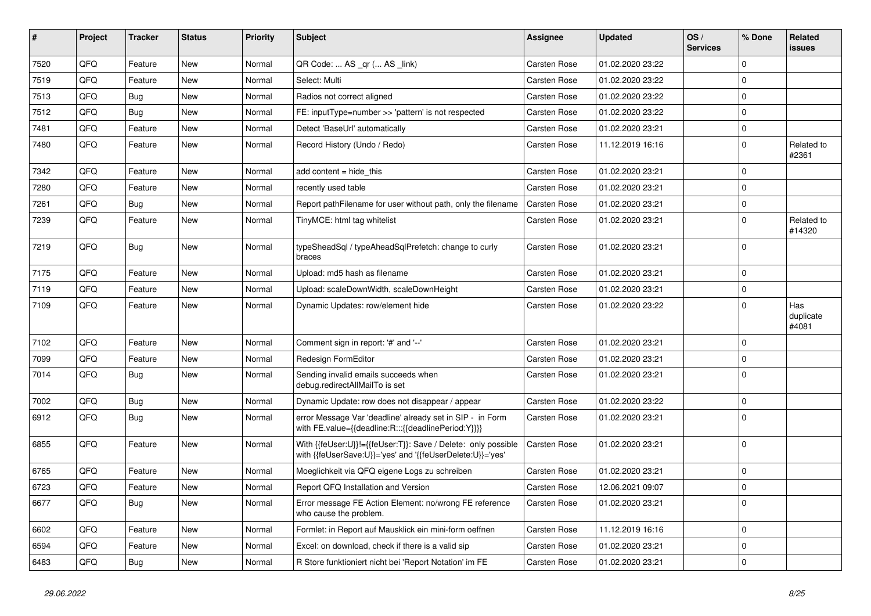| #    | Project | <b>Tracker</b> | <b>Status</b> | <b>Priority</b> | <b>Subject</b>                                                                                                             | Assignee            | <b>Updated</b>   | OS/<br><b>Services</b> | % Done      | <b>Related</b><br><b>issues</b> |
|------|---------|----------------|---------------|-----------------|----------------------------------------------------------------------------------------------------------------------------|---------------------|------------------|------------------------|-------------|---------------------------------|
| 7520 | QFQ     | Feature        | <b>New</b>    | Normal          | QR Code:  AS _qr ( AS _link)                                                                                               | <b>Carsten Rose</b> | 01.02.2020 23:22 |                        | $\Omega$    |                                 |
| 7519 | QFQ     | Feature        | <b>New</b>    | Normal          | Select: Multi                                                                                                              | <b>Carsten Rose</b> | 01.02.2020 23:22 |                        | $\mathbf 0$ |                                 |
| 7513 | QFQ     | Bug            | New           | Normal          | Radios not correct aligned                                                                                                 | <b>Carsten Rose</b> | 01.02.2020 23:22 |                        | $\mathbf 0$ |                                 |
| 7512 | QFQ     | Bug            | <b>New</b>    | Normal          | FE: inputType=number >> 'pattern' is not respected                                                                         | <b>Carsten Rose</b> | 01.02.2020 23:22 |                        | $\mathbf 0$ |                                 |
| 7481 | QFQ     | Feature        | <b>New</b>    | Normal          | Detect 'BaseUrl' automatically                                                                                             | <b>Carsten Rose</b> | 01.02.2020 23:21 |                        | $\mathbf 0$ |                                 |
| 7480 | QFQ     | Feature        | <b>New</b>    | Normal          | Record History (Undo / Redo)                                                                                               | Carsten Rose        | 11.12.2019 16:16 |                        | $\Omega$    | Related to<br>#2361             |
| 7342 | QFQ     | Feature        | New           | Normal          | add content $=$ hide this                                                                                                  | <b>Carsten Rose</b> | 01.02.2020 23:21 |                        | $\mathbf 0$ |                                 |
| 7280 | QFQ     | Feature        | New           | Normal          | recently used table                                                                                                        | <b>Carsten Rose</b> | 01.02.2020 23:21 |                        | $\mathbf 0$ |                                 |
| 7261 | QFQ     | Bug            | New           | Normal          | Report path Filename for user without path, only the filename                                                              | <b>Carsten Rose</b> | 01.02.2020 23:21 |                        | $\mathbf 0$ |                                 |
| 7239 | QFQ     | Feature        | <b>New</b>    | Normal          | TinyMCE: html tag whitelist                                                                                                | Carsten Rose        | 01.02.2020 23:21 |                        | $\mathbf 0$ | Related to<br>#14320            |
| 7219 | QFQ     | Bug            | <b>New</b>    | Normal          | typeSheadSql / typeAheadSqlPrefetch: change to curly<br>braces                                                             | Carsten Rose        | 01.02.2020 23:21 |                        | $\Omega$    |                                 |
| 7175 | QFQ     | Feature        | <b>New</b>    | Normal          | Upload: md5 hash as filename                                                                                               | <b>Carsten Rose</b> | 01.02.2020 23:21 |                        | $\mathbf 0$ |                                 |
| 7119 | QFQ     | Feature        | <b>New</b>    | Normal          | Upload: scaleDownWidth, scaleDownHeight                                                                                    | Carsten Rose        | 01.02.2020 23:21 |                        | $\mathbf 0$ |                                 |
| 7109 | QFQ     | Feature        | <b>New</b>    | Normal          | Dynamic Updates: row/element hide                                                                                          | <b>Carsten Rose</b> | 01.02.2020 23:22 |                        | $\mathbf 0$ | Has<br>duplicate<br>#4081       |
| 7102 | QFQ     | Feature        | <b>New</b>    | Normal          | Comment sign in report: '#' and '--'                                                                                       | Carsten Rose        | 01.02.2020 23:21 |                        | $\Omega$    |                                 |
| 7099 | QFQ     | Feature        | <b>New</b>    | Normal          | Redesign FormEditor                                                                                                        | <b>Carsten Rose</b> | 01.02.2020 23:21 |                        | $\Omega$    |                                 |
| 7014 | QFQ     | <b>Bug</b>     | <b>New</b>    | Normal          | Sending invalid emails succeeds when<br>debug.redirectAllMailTo is set                                                     | Carsten Rose        | 01.02.2020 23:21 |                        | $\mathbf 0$ |                                 |
| 7002 | QFQ     | <b>Bug</b>     | <b>New</b>    | Normal          | Dynamic Update: row does not disappear / appear                                                                            | <b>Carsten Rose</b> | 01.02.2020 23:22 |                        | $\mathbf 0$ |                                 |
| 6912 | QFQ     | Bug            | <b>New</b>    | Normal          | error Message Var 'deadline' already set in SIP - in Form<br>with FE.value={{deadline:R:::{{deadlinePeriod:Y}}}}           | Carsten Rose        | 01.02.2020 23:21 |                        | $\mathbf 0$ |                                 |
| 6855 | QFQ     | Feature        | <b>New</b>    | Normal          | With {{feUser:U}}!={{feUser:T}}: Save / Delete: only possible<br>with {{feUserSave:U}}='yes' and '{{feUserDelete:U}}='yes' | Carsten Rose        | 01.02.2020 23:21 |                        | $\mathbf 0$ |                                 |
| 6765 | QFQ     | Feature        | <b>New</b>    | Normal          | Moeglichkeit via QFQ eigene Logs zu schreiben                                                                              | Carsten Rose        | 01.02.2020 23:21 |                        | $\Omega$    |                                 |
| 6723 | QFQ     | Feature        | <b>New</b>    | Normal          | Report QFQ Installation and Version                                                                                        | <b>Carsten Rose</b> | 12.06.2021 09:07 |                        | $\mathbf 0$ |                                 |
| 6677 | QFQ     | <b>Bug</b>     | New           | Normal          | Error message FE Action Element: no/wrong FE reference<br>who cause the problem.                                           | <b>Carsten Rose</b> | 01.02.2020 23:21 |                        | $\mathbf 0$ |                                 |
| 6602 | QFQ     | Feature        | <b>New</b>    | Normal          | Formlet: in Report auf Mausklick ein mini-form oeffnen                                                                     | <b>Carsten Rose</b> | 11.12.2019 16:16 |                        | $\mathbf 0$ |                                 |
| 6594 | QFQ     | Feature        | <b>New</b>    | Normal          | Excel: on download, check if there is a valid sip                                                                          | <b>Carsten Rose</b> | 01.02.2020 23:21 |                        | $\mathbf 0$ |                                 |
| 6483 | QFQ     | Bug            | <b>New</b>    | Normal          | R Store funktioniert nicht bei 'Report Notation' im FE                                                                     | <b>Carsten Rose</b> | 01.02.2020 23:21 |                        | $\mathbf 0$ |                                 |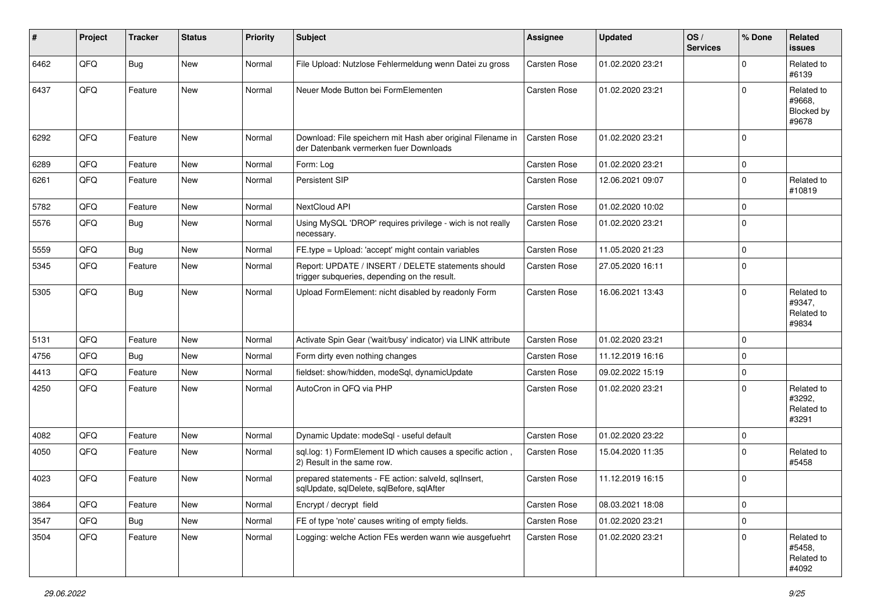| #    | Project | <b>Tracker</b> | <b>Status</b> | <b>Priority</b> | <b>Subject</b>                                                                                        | <b>Assignee</b>     | <b>Updated</b>   | OS/<br><b>Services</b> | % Done      | Related<br>issues                           |
|------|---------|----------------|---------------|-----------------|-------------------------------------------------------------------------------------------------------|---------------------|------------------|------------------------|-------------|---------------------------------------------|
| 6462 | QFQ     | Bug            | New           | Normal          | File Upload: Nutzlose Fehlermeldung wenn Datei zu gross                                               | <b>Carsten Rose</b> | 01.02.2020 23:21 |                        | $\Omega$    | Related to<br>#6139                         |
| 6437 | QFQ     | Feature        | New           | Normal          | Neuer Mode Button bei FormElementen                                                                   | Carsten Rose        | 01.02.2020 23:21 |                        | $\Omega$    | Related to<br>#9668,<br>Blocked by<br>#9678 |
| 6292 | QFQ     | Feature        | New           | Normal          | Download: File speichern mit Hash aber original Filename in<br>der Datenbank vermerken fuer Downloads | Carsten Rose        | 01.02.2020 23:21 |                        | $\mathbf 0$ |                                             |
| 6289 | QFQ     | Feature        | New           | Normal          | Form: Log                                                                                             | <b>Carsten Rose</b> | 01.02.2020 23:21 |                        | $\mathbf 0$ |                                             |
| 6261 | QFQ     | Feature        | <b>New</b>    | Normal          | Persistent SIP                                                                                        | Carsten Rose        | 12.06.2021 09:07 |                        | $\mathbf 0$ | Related to<br>#10819                        |
| 5782 | QFQ     | Feature        | <b>New</b>    | Normal          | NextCloud API                                                                                         | <b>Carsten Rose</b> | 01.02.2020 10:02 |                        | $\mathbf 0$ |                                             |
| 5576 | QFQ     | <b>Bug</b>     | New           | Normal          | Using MySQL 'DROP' requires privilege - wich is not really<br>necessary.                              | Carsten Rose        | 01.02.2020 23:21 |                        | $\mathbf 0$ |                                             |
| 5559 | QFQ     | <b>Bug</b>     | New           | Normal          | FE.type = Upload: 'accept' might contain variables                                                    | Carsten Rose        | 11.05.2020 21:23 |                        | $\mathbf 0$ |                                             |
| 5345 | QFQ     | Feature        | <b>New</b>    | Normal          | Report: UPDATE / INSERT / DELETE statements should<br>trigger subqueries, depending on the result.    | Carsten Rose        | 27.05.2020 16:11 |                        | $\mathbf 0$ |                                             |
| 5305 | QFQ     | Bug            | New           | Normal          | Upload FormElement: nicht disabled by readonly Form                                                   | Carsten Rose        | 16.06.2021 13:43 |                        | $\mathbf 0$ | Related to<br>#9347,<br>Related to<br>#9834 |
| 5131 | QFQ     | Feature        | <b>New</b>    | Normal          | Activate Spin Gear ('wait/busy' indicator) via LINK attribute                                         | Carsten Rose        | 01.02.2020 23:21 |                        | $\mathbf 0$ |                                             |
| 4756 | QFQ     | <b>Bug</b>     | New           | Normal          | Form dirty even nothing changes                                                                       | Carsten Rose        | 11.12.2019 16:16 |                        | $\mathbf 0$ |                                             |
| 4413 | QFQ     | Feature        | <b>New</b>    | Normal          | fieldset: show/hidden, modeSql, dynamicUpdate                                                         | Carsten Rose        | 09.02.2022 15:19 |                        | $\mathbf 0$ |                                             |
| 4250 | QFQ     | Feature        | New           | Normal          | AutoCron in QFQ via PHP                                                                               | Carsten Rose        | 01.02.2020 23:21 |                        | $\mathbf 0$ | Related to<br>#3292,<br>Related to<br>#3291 |
| 4082 | QFQ     | Feature        | <b>New</b>    | Normal          | Dynamic Update: modeSql - useful default                                                              | Carsten Rose        | 01.02.2020 23:22 |                        | $\mathbf 0$ |                                             |
| 4050 | QFQ     | Feature        | <b>New</b>    | Normal          | sql.log: 1) FormElement ID which causes a specific action,<br>2) Result in the same row.              | Carsten Rose        | 15.04.2020 11:35 |                        | $\Omega$    | Related to<br>#5458                         |
| 4023 | QFQ     | Feature        | New           | Normal          | prepared statements - FE action: salveld, sqllnsert,<br>sqlUpdate, sqlDelete, sqlBefore, sqlAfter     | Carsten Rose        | 11.12.2019 16:15 |                        | $\mathbf 0$ |                                             |
| 3864 | QFQ     | Feature        | New           | Normal          | Encrypt / decrypt field                                                                               | Carsten Rose        | 08.03.2021 18:08 |                        | $\mathbf 0$ |                                             |
| 3547 | QFQ     | <b>Bug</b>     | <b>New</b>    | Normal          | FE of type 'note' causes writing of empty fields.                                                     | Carsten Rose        | 01.02.2020 23:21 |                        | $\mathbf 0$ |                                             |
| 3504 | QFQ     | Feature        | New           | Normal          | Logging: welche Action FEs werden wann wie ausgefuehrt                                                | Carsten Rose        | 01.02.2020 23:21 |                        | $\mathbf 0$ | Related to<br>#5458,<br>Related to<br>#4092 |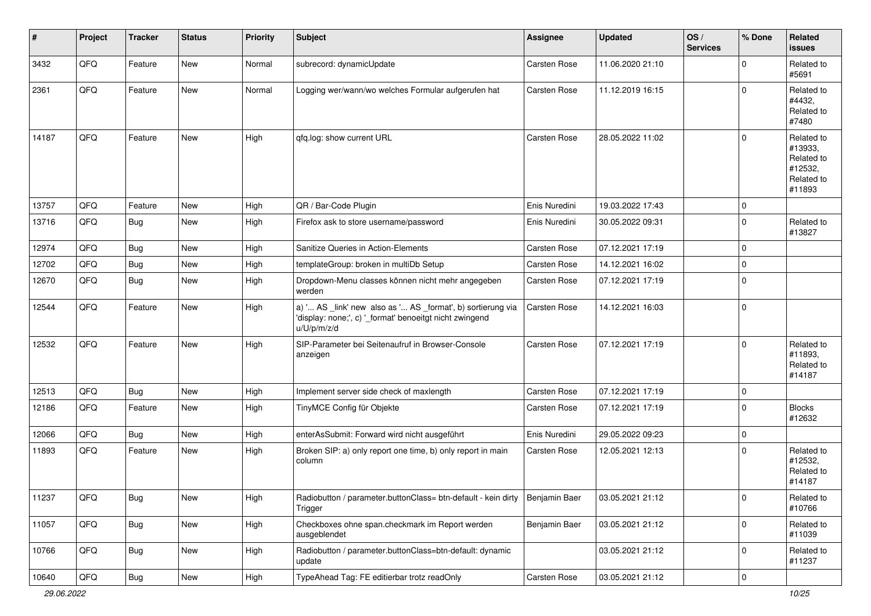| $\vert$ # | Project | <b>Tracker</b> | <b>Status</b> | <b>Priority</b> | <b>Subject</b>                                                                                                                        | Assignee            | <b>Updated</b>   | OS/<br><b>Services</b> | % Done      | Related<br><b>issues</b>                                               |
|-----------|---------|----------------|---------------|-----------------|---------------------------------------------------------------------------------------------------------------------------------------|---------------------|------------------|------------------------|-------------|------------------------------------------------------------------------|
| 3432      | QFQ     | Feature        | New           | Normal          | subrecord: dynamicUpdate                                                                                                              | Carsten Rose        | 11.06.2020 21:10 |                        | $\Omega$    | Related to<br>#5691                                                    |
| 2361      | QFQ     | Feature        | New           | Normal          | Logging wer/wann/wo welches Formular aufgerufen hat                                                                                   | <b>Carsten Rose</b> | 11.12.2019 16:15 |                        | $\Omega$    | Related to<br>#4432,<br>Related to<br>#7480                            |
| 14187     | QFQ     | Feature        | <b>New</b>    | High            | qfq.log: show current URL                                                                                                             | <b>Carsten Rose</b> | 28.05.2022 11:02 |                        | $\mathbf 0$ | Related to<br>#13933,<br>Related to<br>#12532,<br>Related to<br>#11893 |
| 13757     | QFQ     | Feature        | New           | High            | QR / Bar-Code Plugin                                                                                                                  | Enis Nuredini       | 19.03.2022 17:43 |                        | $\mathbf 0$ |                                                                        |
| 13716     | QFQ     | Bug            | New           | High            | Firefox ask to store username/password                                                                                                | Enis Nuredini       | 30.05.2022 09:31 |                        | $\Omega$    | Related to<br>#13827                                                   |
| 12974     | QFQ     | Bug            | New           | High            | Sanitize Queries in Action-Elements                                                                                                   | Carsten Rose        | 07.12.2021 17:19 |                        | $\mathbf 0$ |                                                                        |
| 12702     | QFQ     | <b>Bug</b>     | New           | High            | templateGroup: broken in multiDb Setup                                                                                                | Carsten Rose        | 14.12.2021 16:02 |                        | $\mathbf 0$ |                                                                        |
| 12670     | QFQ     | Bug            | New           | High            | Dropdown-Menu classes können nicht mehr angegeben<br>werden                                                                           | Carsten Rose        | 07.12.2021 17:19 |                        | $\mathbf 0$ |                                                                        |
| 12544     | QFQ     | Feature        | New           | High            | a) ' AS _link' new also as ' AS _format', b) sortierung via<br>'display: none;', c) '_format' benoeitgt nicht zwingend<br>u/U/p/m/z/d | Carsten Rose        | 14.12.2021 16:03 |                        | $\mathbf 0$ |                                                                        |
| 12532     | QFQ     | Feature        | <b>New</b>    | High            | SIP-Parameter bei Seitenaufruf in Browser-Console<br>anzeigen                                                                         | <b>Carsten Rose</b> | 07.12.2021 17:19 |                        | $\Omega$    | Related to<br>#11893.<br>Related to<br>#14187                          |
| 12513     | QFQ     | Bug            | New           | High            | Implement server side check of maxlength                                                                                              | Carsten Rose        | 07.12.2021 17:19 |                        | $\mathbf 0$ |                                                                        |
| 12186     | QFQ     | Feature        | New           | High            | TinyMCE Config für Objekte                                                                                                            | Carsten Rose        | 07.12.2021 17:19 |                        | $\mathbf 0$ | Blocks<br>#12632                                                       |
| 12066     | QFQ     | Bug            | New           | High            | enterAsSubmit: Forward wird nicht ausgeführt                                                                                          | Enis Nuredini       | 29.05.2022 09:23 |                        | $\mathbf 0$ |                                                                        |
| 11893     | QFQ     | Feature        | New           | High            | Broken SIP: a) only report one time, b) only report in main<br>column                                                                 | <b>Carsten Rose</b> | 12.05.2021 12:13 |                        | $\mathbf 0$ | Related to<br>#12532,<br>Related to<br>#14187                          |
| 11237     | QFG     | <b>Bug</b>     | <b>New</b>    | High            | Radiobutton / parameter.buttonClass= btn-default - kein dirty   Benjamin Baer<br>Trigger                                              |                     | 03.05.2021 21:12 |                        | 0           | Related to<br>#10766                                                   |
| 11057     | QFQ     | Bug            | New           | High            | Checkboxes ohne span.checkmark im Report werden<br>ausgeblendet                                                                       | Benjamin Baer       | 03.05.2021 21:12 |                        | $\mathbf 0$ | Related to<br>#11039                                                   |
| 10766     | QFQ     | <b>Bug</b>     | New           | High            | Radiobutton / parameter.buttonClass=btn-default: dynamic<br>update                                                                    |                     | 03.05.2021 21:12 |                        | $\mathbf 0$ | Related to<br>#11237                                                   |
| 10640     | QFQ     | Bug            | New           | High            | TypeAhead Tag: FE editierbar trotz readOnly                                                                                           | Carsten Rose        | 03.05.2021 21:12 |                        | $\pmb{0}$   |                                                                        |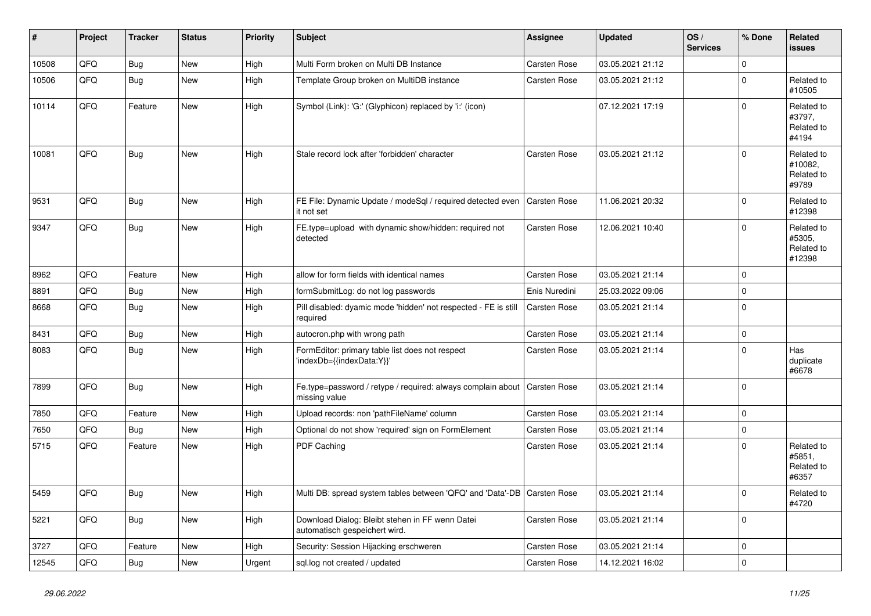| #     | Project | <b>Tracker</b> | <b>Status</b> | <b>Priority</b> | <b>Subject</b>                                                                   | Assignee            | <b>Updated</b>   | OS/<br><b>Services</b> | % Done      | <b>Related</b><br>issues                     |
|-------|---------|----------------|---------------|-----------------|----------------------------------------------------------------------------------|---------------------|------------------|------------------------|-------------|----------------------------------------------|
| 10508 | QFQ     | Bug            | <b>New</b>    | High            | Multi Form broken on Multi DB Instance                                           | Carsten Rose        | 03.05.2021 21:12 |                        | $\mathbf 0$ |                                              |
| 10506 | QFQ     | <b>Bug</b>     | New           | High            | Template Group broken on MultiDB instance                                        | Carsten Rose        | 03.05.2021 21:12 |                        | $\mathbf 0$ | Related to<br>#10505                         |
| 10114 | QFQ     | Feature        | New           | High            | Symbol (Link): 'G:' (Glyphicon) replaced by 'i:' (icon)                          |                     | 07.12.2021 17:19 |                        | $\Omega$    | Related to<br>#3797,<br>Related to<br>#4194  |
| 10081 | QFQ     | <b>Bug</b>     | New           | High            | Stale record lock after 'forbidden' character                                    | Carsten Rose        | 03.05.2021 21:12 |                        | $\Omega$    | Related to<br>#10082.<br>Related to<br>#9789 |
| 9531  | QFQ     | <b>Bug</b>     | New           | High            | FE File: Dynamic Update / modeSql / required detected even<br>it not set         | Carsten Rose        | 11.06.2021 20:32 |                        | $\Omega$    | Related to<br>#12398                         |
| 9347  | QFQ     | Bug            | New           | High            | FE.type=upload with dynamic show/hidden: required not<br>detected                | Carsten Rose        | 12.06.2021 10:40 |                        | $\Omega$    | Related to<br>#5305,<br>Related to<br>#12398 |
| 8962  | QFQ     | Feature        | <b>New</b>    | High            | allow for form fields with identical names                                       | Carsten Rose        | 03.05.2021 21:14 |                        | $\mathbf 0$ |                                              |
| 8891  | QFQ     | <b>Bug</b>     | New           | High            | formSubmitLog: do not log passwords                                              | Enis Nuredini       | 25.03.2022 09:06 |                        | $\mathbf 0$ |                                              |
| 8668  | QFQ     | Bug            | New           | High            | Pill disabled: dyamic mode 'hidden' not respected - FE is still<br>required      | <b>Carsten Rose</b> | 03.05.2021 21:14 |                        | $\Omega$    |                                              |
| 8431  | QFQ     | <b>Bug</b>     | <b>New</b>    | High            | autocron.php with wrong path                                                     | <b>Carsten Rose</b> | 03.05.2021 21:14 |                        | $\pmb{0}$   |                                              |
| 8083  | QFQ     | Bug            | New           | High            | FormEditor: primary table list does not respect<br>'indexDb={{indexData:Y}}'     | Carsten Rose        | 03.05.2021 21:14 |                        | $\mathbf 0$ | Has<br>duplicate<br>#6678                    |
| 7899  | QFQ     | Bug            | New           | High            | Fe.type=password / retype / required: always complain about<br>missing value     | <b>Carsten Rose</b> | 03.05.2021 21:14 |                        | $\mathbf 0$ |                                              |
| 7850  | QFQ     | Feature        | <b>New</b>    | High            | Upload records: non 'pathFileName' column                                        | Carsten Rose        | 03.05.2021 21:14 |                        | $\mathbf 0$ |                                              |
| 7650  | QFQ     | Bug            | <b>New</b>    | High            | Optional do not show 'required' sign on FormElement                              | Carsten Rose        | 03.05.2021 21:14 |                        | $\pmb{0}$   |                                              |
| 5715  | QFQ     | Feature        | New           | High            | PDF Caching                                                                      | Carsten Rose        | 03.05.2021 21:14 |                        | $\Omega$    | Related to<br>#5851,<br>Related to<br>#6357  |
| 5459  | QFQ     | Bug            | New           | High            | Multi DB: spread system tables between 'QFQ' and 'Data'-DB                       | Carsten Rose        | 03.05.2021 21:14 |                        | $\Omega$    | Related to<br>#4720                          |
| 5221  | QFQ     | <b>Bug</b>     | <b>New</b>    | High            | Download Dialog: Bleibt stehen in FF wenn Datei<br>automatisch gespeichert wird. | Carsten Rose        | 03.05.2021 21:14 |                        | $\Omega$    |                                              |
| 3727  | QFQ     | Feature        | <b>New</b>    | High            | Security: Session Hijacking erschweren                                           | Carsten Rose        | 03.05.2021 21:14 |                        | $\mathbf 0$ |                                              |
| 12545 | QFQ     | <b>Bug</b>     | New           | Urgent          | sql.log not created / updated                                                    | <b>Carsten Rose</b> | 14.12.2021 16:02 |                        | $\Omega$    |                                              |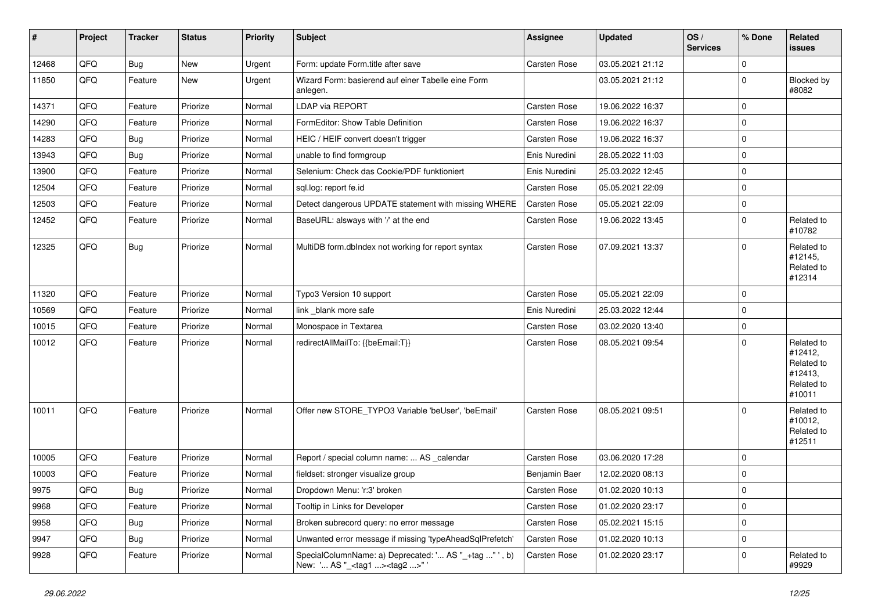| #     | Project | <b>Tracker</b> | <b>Status</b> | <b>Priority</b> | Subject                                                                                           | <b>Assignee</b>     | <b>Updated</b>   | OS/<br><b>Services</b> | % Done         | Related<br><b>issues</b>                                               |
|-------|---------|----------------|---------------|-----------------|---------------------------------------------------------------------------------------------------|---------------------|------------------|------------------------|----------------|------------------------------------------------------------------------|
| 12468 | QFQ     | <b>Bug</b>     | <b>New</b>    | Urgent          | Form: update Form.title after save                                                                | Carsten Rose        | 03.05.2021 21:12 |                        | $\mathbf 0$    |                                                                        |
| 11850 | QFQ     | Feature        | <b>New</b>    | Urgent          | Wizard Form: basierend auf einer Tabelle eine Form<br>anlegen.                                    |                     | 03.05.2021 21:12 |                        | $\mathbf 0$    | Blocked by<br>#8082                                                    |
| 14371 | QFQ     | Feature        | Priorize      | Normal          | <b>LDAP via REPORT</b>                                                                            | <b>Carsten Rose</b> | 19.06.2022 16:37 |                        | $\mathbf 0$    |                                                                        |
| 14290 | QFQ     | Feature        | Priorize      | Normal          | FormEditor: Show Table Definition                                                                 | Carsten Rose        | 19.06.2022 16:37 |                        | $\mathbf 0$    |                                                                        |
| 14283 | QFQ     | Bug            | Priorize      | Normal          | HEIC / HEIF convert doesn't trigger                                                               | Carsten Rose        | 19.06.2022 16:37 |                        | $\mathbf 0$    |                                                                        |
| 13943 | QFQ     | Bug            | Priorize      | Normal          | unable to find formgroup                                                                          | Enis Nuredini       | 28.05.2022 11:03 |                        | $\mathbf 0$    |                                                                        |
| 13900 | QFQ     | Feature        | Priorize      | Normal          | Selenium: Check das Cookie/PDF funktioniert                                                       | Enis Nuredini       | 25.03.2022 12:45 |                        | $\mathbf 0$    |                                                                        |
| 12504 | QFQ     | Feature        | Priorize      | Normal          | sql.log: report fe.id                                                                             | Carsten Rose        | 05.05.2021 22:09 |                        | $\mathbf 0$    |                                                                        |
| 12503 | QFQ     | Feature        | Priorize      | Normal          | Detect dangerous UPDATE statement with missing WHERE                                              | Carsten Rose        | 05.05.2021 22:09 |                        | $\mathbf 0$    |                                                                        |
| 12452 | QFQ     | Feature        | Priorize      | Normal          | BaseURL: alsways with '/' at the end                                                              | Carsten Rose        | 19.06.2022 13:45 |                        | $\overline{0}$ | Related to<br>#10782                                                   |
| 12325 | QFQ     | Bug            | Priorize      | Normal          | MultiDB form.dblndex not working for report syntax                                                | Carsten Rose        | 07.09.2021 13:37 |                        | $\mathbf 0$    | Related to<br>#12145,<br>Related to<br>#12314                          |
| 11320 | QFQ     | Feature        | Priorize      | Normal          | Typo3 Version 10 support                                                                          | Carsten Rose        | 05.05.2021 22:09 |                        | $\overline{0}$ |                                                                        |
| 10569 | QFQ     | Feature        | Priorize      | Normal          | link _blank more safe                                                                             | Enis Nuredini       | 25.03.2022 12:44 |                        | $\overline{0}$ |                                                                        |
| 10015 | QFQ     | Feature        | Priorize      | Normal          | Monospace in Textarea                                                                             | Carsten Rose        | 03.02.2020 13:40 |                        | $\mathbf 0$    |                                                                        |
| 10012 | QFQ     | Feature        | Priorize      | Normal          | redirectAllMailTo: {{beEmail:T}}                                                                  | Carsten Rose        | 08.05.2021 09:54 |                        | $\Omega$       | Related to<br>#12412,<br>Related to<br>#12413,<br>Related to<br>#10011 |
| 10011 | QFQ     | Feature        | Priorize      | Normal          | Offer new STORE_TYPO3 Variable 'beUser', 'beEmail'                                                | <b>Carsten Rose</b> | 08.05.2021 09:51 |                        | $\mathbf 0$    | Related to<br>#10012,<br>Related to<br>#12511                          |
| 10005 | QFQ     | Feature        | Priorize      | Normal          | Report / special column name:  AS _calendar                                                       | Carsten Rose        | 03.06.2020 17:28 |                        | $\mathbf 0$    |                                                                        |
| 10003 | QFQ     | Feature        | Priorize      | Normal          | fieldset: stronger visualize group                                                                | Benjamin Baer       | 12.02.2020 08:13 |                        | $\mathbf 0$    |                                                                        |
| 9975  | QFQ     | Bug            | Priorize      | Normal          | Dropdown Menu: 'r:3' broken                                                                       | Carsten Rose        | 01.02.2020 10:13 |                        | $\mathbf 0$    |                                                                        |
| 9968  | QFQ     | Feature        | Priorize      | Normal          | Tooltip in Links for Developer                                                                    | Carsten Rose        | 01.02.2020 23:17 |                        | $\mathbf 0$    |                                                                        |
| 9958  | QFQ     | Bug            | Priorize      | Normal          | Broken subrecord query: no error message                                                          | Carsten Rose        | 05.02.2021 15:15 |                        | $\mathbf 0$    |                                                                        |
| 9947  | QFQ     | <b>Bug</b>     | Priorize      | Normal          | Unwanted error message if missing 'typeAheadSqlPrefetch'                                          | Carsten Rose        | 01.02.2020 10:13 |                        | $\mathbf 0$    |                                                                        |
| 9928  | QFQ     | Feature        | Priorize      | Normal          | SpecialColumnName: a) Deprecated: ' AS "_+tag " ', b)<br>New: ' AS "_ <tag1><tag2>"</tag2></tag1> | Carsten Rose        | 01.02.2020 23:17 |                        | $\mathbf 0$    | Related to<br>#9929                                                    |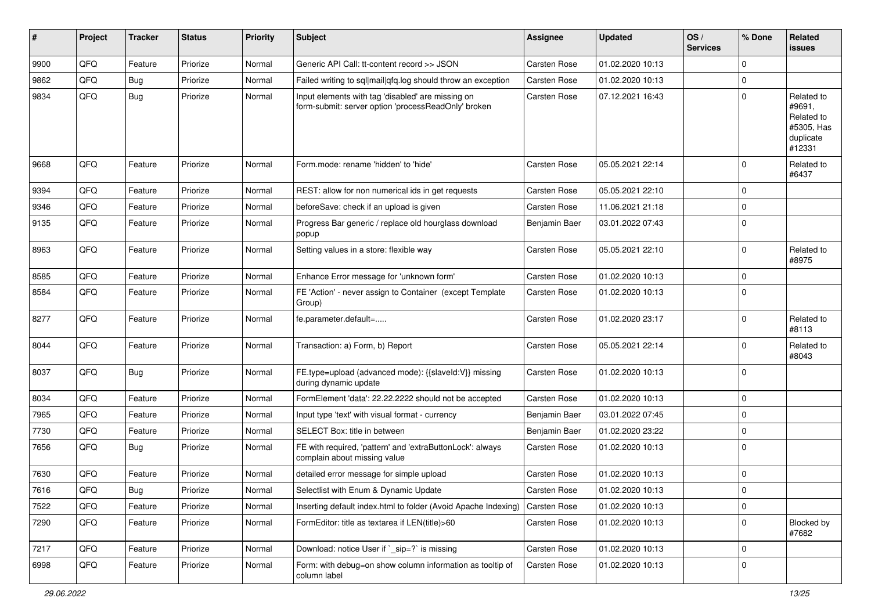| #    | Project | <b>Tracker</b> | <b>Status</b> | <b>Priority</b> | <b>Subject</b>                                                                                           | <b>Assignee</b>     | <b>Updated</b>   | OS/<br><b>Services</b> | % Done         | Related<br><b>issues</b>                                                |
|------|---------|----------------|---------------|-----------------|----------------------------------------------------------------------------------------------------------|---------------------|------------------|------------------------|----------------|-------------------------------------------------------------------------|
| 9900 | QFQ     | Feature        | Priorize      | Normal          | Generic API Call: tt-content record >> JSON                                                              | <b>Carsten Rose</b> | 01.02.2020 10:13 |                        | $\mathbf 0$    |                                                                         |
| 9862 | QFQ     | <b>Bug</b>     | Priorize      | Normal          | Failed writing to sql mail qfq.log should throw an exception                                             | Carsten Rose        | 01.02.2020 10:13 |                        | $\mathbf 0$    |                                                                         |
| 9834 | QFQ     | <b>Bug</b>     | Priorize      | Normal          | Input elements with tag 'disabled' are missing on<br>form-submit: server option 'processReadOnly' broken | Carsten Rose        | 07.12.2021 16:43 |                        | $\overline{0}$ | Related to<br>#9691,<br>Related to<br>#5305, Has<br>duplicate<br>#12331 |
| 9668 | QFQ     | Feature        | Priorize      | Normal          | Form.mode: rename 'hidden' to 'hide'                                                                     | Carsten Rose        | 05.05.2021 22:14 |                        | $\mathbf 0$    | Related to<br>#6437                                                     |
| 9394 | QFQ     | Feature        | Priorize      | Normal          | REST: allow for non numerical ids in get requests                                                        | <b>Carsten Rose</b> | 05.05.2021 22:10 |                        | $\mathbf 0$    |                                                                         |
| 9346 | QFQ     | Feature        | Priorize      | Normal          | beforeSave: check if an upload is given                                                                  | Carsten Rose        | 11.06.2021 21:18 |                        | $\mathbf 0$    |                                                                         |
| 9135 | QFQ     | Feature        | Priorize      | Normal          | Progress Bar generic / replace old hourglass download<br>popup                                           | Benjamin Baer       | 03.01.2022 07:43 |                        | $\Omega$       |                                                                         |
| 8963 | QFQ     | Feature        | Priorize      | Normal          | Setting values in a store: flexible way                                                                  | <b>Carsten Rose</b> | 05.05.2021 22:10 |                        | $\overline{0}$ | Related to<br>#8975                                                     |
| 8585 | QFQ     | Feature        | Priorize      | Normal          | Enhance Error message for 'unknown form'                                                                 | Carsten Rose        | 01.02.2020 10:13 |                        | $\overline{0}$ |                                                                         |
| 8584 | QFQ     | Feature        | Priorize      | Normal          | FE 'Action' - never assign to Container (except Template<br>Group)                                       | Carsten Rose        | 01.02.2020 10:13 |                        | $\overline{0}$ |                                                                         |
| 8277 | QFQ     | Feature        | Priorize      | Normal          | fe.parameter.default=                                                                                    | Carsten Rose        | 01.02.2020 23:17 |                        | $\mathbf 0$    | Related to<br>#8113                                                     |
| 8044 | QFQ     | Feature        | Priorize      | Normal          | Transaction: a) Form, b) Report                                                                          | <b>Carsten Rose</b> | 05.05.2021 22:14 |                        | $\overline{0}$ | Related to<br>#8043                                                     |
| 8037 | QFQ     | <b>Bug</b>     | Priorize      | Normal          | FE.type=upload (advanced mode): {{slaveld:V}} missing<br>during dynamic update                           | Carsten Rose        | 01.02.2020 10:13 |                        | $\overline{0}$ |                                                                         |
| 8034 | QFQ     | Feature        | Priorize      | Normal          | FormElement 'data': 22.22.2222 should not be accepted                                                    | <b>Carsten Rose</b> | 01.02.2020 10:13 |                        | $\overline{0}$ |                                                                         |
| 7965 | QFQ     | Feature        | Priorize      | Normal          | Input type 'text' with visual format - currency                                                          | Benjamin Baer       | 03.01.2022 07:45 |                        | $\mathbf 0$    |                                                                         |
| 7730 | QFQ     | Feature        | Priorize      | Normal          | SELECT Box: title in between                                                                             | Benjamin Baer       | 01.02.2020 23:22 |                        | $\overline{0}$ |                                                                         |
| 7656 | QFQ     | <b>Bug</b>     | Priorize      | Normal          | FE with required, 'pattern' and 'extraButtonLock': always<br>complain about missing value                | Carsten Rose        | 01.02.2020 10:13 |                        | $\overline{0}$ |                                                                         |
| 7630 | QFQ     | Feature        | Priorize      | Normal          | detailed error message for simple upload                                                                 | <b>Carsten Rose</b> | 01.02.2020 10:13 |                        | $\mathbf 0$    |                                                                         |
| 7616 | QFQ     | Bug            | Priorize      | Normal          | Selectlist with Enum & Dynamic Update                                                                    | Carsten Rose        | 01.02.2020 10:13 |                        | $\overline{0}$ |                                                                         |
| 7522 | QFQ     | Feature        | Priorize      | Normal          | Inserting default index.html to folder (Avoid Apache Indexing)                                           | Carsten Rose        | 01.02.2020 10:13 |                        | $\mathbf 0$    |                                                                         |
| 7290 | QFQ     | Feature        | Priorize      | Normal          | FormEditor: title as textarea if LEN(title)>60                                                           | Carsten Rose        | 01.02.2020 10:13 |                        | $\mathbf 0$    | Blocked by<br>#7682                                                     |
| 7217 | QFQ     | Feature        | Priorize      | Normal          | Download: notice User if `_sip=?` is missing                                                             | Carsten Rose        | 01.02.2020 10:13 |                        | $\mathbf 0$    |                                                                         |
| 6998 | QFQ     | Feature        | Priorize      | Normal          | Form: with debug=on show column information as tooltip of<br>column label                                | Carsten Rose        | 01.02.2020 10:13 |                        | $\overline{0}$ |                                                                         |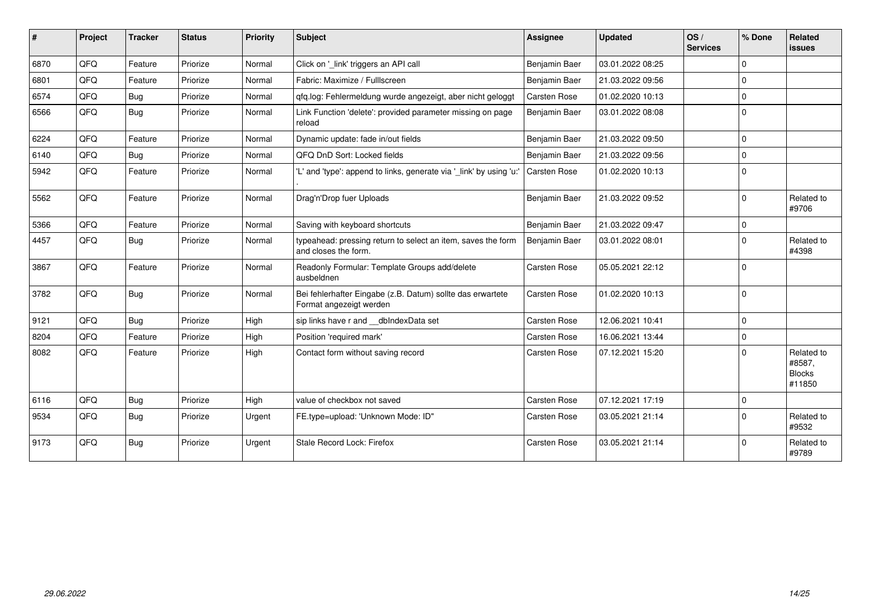| $\vert$ # | Project | <b>Tracker</b> | <b>Status</b> | <b>Priority</b> | <b>Subject</b>                                                                        | <b>Assignee</b>     | <b>Updated</b>   | OS/<br><b>Services</b> | % Done      | Related<br>issues                               |
|-----------|---------|----------------|---------------|-----------------|---------------------------------------------------------------------------------------|---------------------|------------------|------------------------|-------------|-------------------------------------------------|
| 6870      | QFQ     | Feature        | Priorize      | Normal          | Click on '_link' triggers an API call                                                 | Benjamin Baer       | 03.01.2022 08:25 |                        | $\Omega$    |                                                 |
| 6801      | QFQ     | Feature        | Priorize      | Normal          | Fabric: Maximize / FullIscreen                                                        | Benjamin Baer       | 21.03.2022 09:56 |                        | $\Omega$    |                                                 |
| 6574      | QFQ     | Bug            | Priorize      | Normal          | qfq.log: Fehlermeldung wurde angezeigt, aber nicht geloggt                            | <b>Carsten Rose</b> | 01.02.2020 10:13 |                        | $\Omega$    |                                                 |
| 6566      | QFQ     | Bug            | Priorize      | Normal          | Link Function 'delete': provided parameter missing on page<br>reload                  | Benjamin Baer       | 03.01.2022 08:08 |                        | $\mathbf 0$ |                                                 |
| 6224      | QFQ     | Feature        | Priorize      | Normal          | Dynamic update: fade in/out fields                                                    | Benjamin Baer       | 21.03.2022 09:50 |                        | $\Omega$    |                                                 |
| 6140      | QFQ     | Bug            | Priorize      | Normal          | QFQ DnD Sort: Locked fields                                                           | Benjamin Baer       | 21.03.2022 09:56 |                        | $\mathbf 0$ |                                                 |
| 5942      | QFQ     | Feature        | Priorize      | Normal          | 'L' and 'type': append to links, generate via '_link' by using 'u:'                   | Carsten Rose        | 01.02.2020 10:13 |                        | $\mathbf 0$ |                                                 |
| 5562      | QFQ     | Feature        | Priorize      | Normal          | Drag'n'Drop fuer Uploads                                                              | Benjamin Baer       | 21.03.2022 09:52 |                        | $\Omega$    | Related to<br>#9706                             |
| 5366      | QFQ     | Feature        | Priorize      | Normal          | Saving with keyboard shortcuts                                                        | Benjamin Baer       | 21.03.2022 09:47 |                        | $\mathbf 0$ |                                                 |
| 4457      | QFQ     | <b>Bug</b>     | Priorize      | Normal          | typeahead: pressing return to select an item, saves the form<br>and closes the form.  | Benjamin Baer       | 03.01.2022 08:01 |                        | $\Omega$    | Related to<br>#4398                             |
| 3867      | QFQ     | Feature        | Priorize      | Normal          | Readonly Formular: Template Groups add/delete<br>ausbeldnen                           | Carsten Rose        | 05.05.2021 22:12 |                        | $\Omega$    |                                                 |
| 3782      | QFQ     | Bug            | Priorize      | Normal          | Bei fehlerhafter Eingabe (z.B. Datum) sollte das erwartete<br>Format angezeigt werden | Carsten Rose        | 01.02.2020 10:13 |                        | $\mathbf 0$ |                                                 |
| 9121      | QFQ     | Bug            | Priorize      | High            | sip links have r and dblndexData set                                                  | Carsten Rose        | 12.06.2021 10:41 |                        | $\mathbf 0$ |                                                 |
| 8204      | QFQ     | Feature        | Priorize      | High            | Position 'required mark'                                                              | Carsten Rose        | 16.06.2021 13:44 |                        | $\Omega$    |                                                 |
| 8082      | QFQ     | Feature        | Priorize      | High            | Contact form without saving record                                                    | <b>Carsten Rose</b> | 07.12.2021 15:20 |                        | $\Omega$    | Related to<br>#8587,<br><b>Blocks</b><br>#11850 |
| 6116      | QFQ     | <b>Bug</b>     | Priorize      | High            | value of checkbox not saved                                                           | Carsten Rose        | 07.12.2021 17:19 |                        | $\mathbf 0$ |                                                 |
| 9534      | QFQ     | <b>Bug</b>     | Priorize      | Urgent          | FE.type=upload: 'Unknown Mode: ID"                                                    | Carsten Rose        | 03.05.2021 21:14 |                        | $\Omega$    | Related to<br>#9532                             |
| 9173      | QFQ     | Bug            | Priorize      | Urgent          | Stale Record Lock: Firefox                                                            | <b>Carsten Rose</b> | 03.05.2021 21:14 |                        | $\Omega$    | Related to<br>#9789                             |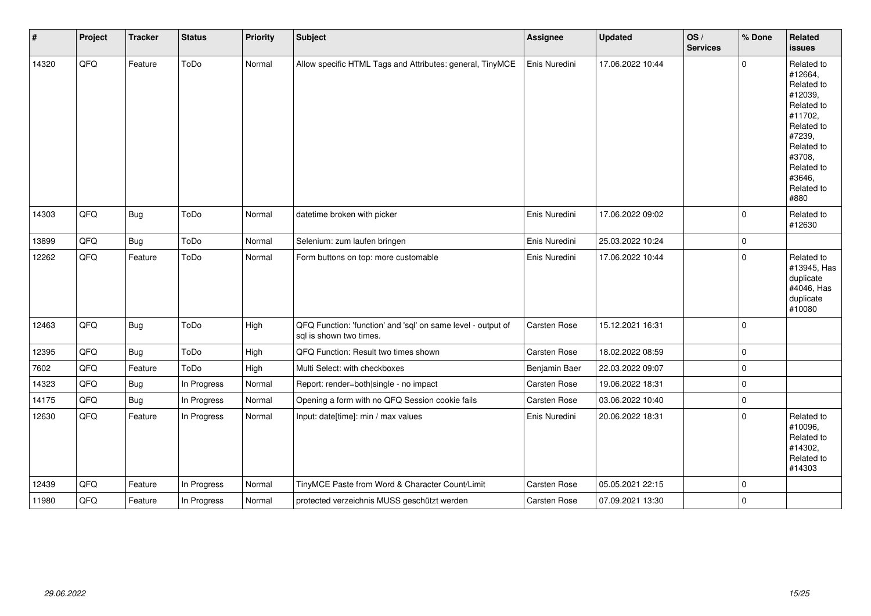| $\sharp$ | Project | <b>Tracker</b> | <b>Status</b> | <b>Priority</b> | <b>Subject</b>                                                                          | Assignee            | <b>Updated</b>   | OS/<br><b>Services</b> | % Done      | Related<br><b>issues</b>                                                                                                                                              |
|----------|---------|----------------|---------------|-----------------|-----------------------------------------------------------------------------------------|---------------------|------------------|------------------------|-------------|-----------------------------------------------------------------------------------------------------------------------------------------------------------------------|
| 14320    | QFQ     | Feature        | ToDo          | Normal          | Allow specific HTML Tags and Attributes: general, TinyMCE                               | Enis Nuredini       | 17.06.2022 10:44 |                        | $\mathbf 0$ | Related to<br>#12664,<br>Related to<br>#12039,<br>Related to<br>#11702,<br>Related to<br>#7239,<br>Related to<br>#3708,<br>Related to<br>#3646,<br>Related to<br>#880 |
| 14303    | QFQ     | Bug            | ToDo          | Normal          | datetime broken with picker                                                             | Enis Nuredini       | 17.06.2022 09:02 |                        | $\mathbf 0$ | Related to<br>#12630                                                                                                                                                  |
| 13899    | QFQ     | <b>Bug</b>     | ToDo          | Normal          | Selenium: zum laufen bringen                                                            | Enis Nuredini       | 25.03.2022 10:24 |                        | $\mathbf 0$ |                                                                                                                                                                       |
| 12262    | QFQ     | Feature        | ToDo          | Normal          | Form buttons on top: more customable                                                    | Enis Nuredini       | 17.06.2022 10:44 |                        | $\Omega$    | Related to<br>#13945, Has<br>duplicate<br>#4046, Has<br>duplicate<br>#10080                                                                                           |
| 12463    | QFQ     | <b>Bug</b>     | ToDo          | High            | QFQ Function: 'function' and 'sql' on same level - output of<br>sql is shown two times. | Carsten Rose        | 15.12.2021 16:31 |                        | $\mathbf 0$ |                                                                                                                                                                       |
| 12395    | QFQ     | Bug            | ToDo          | High            | QFQ Function: Result two times shown                                                    | Carsten Rose        | 18.02.2022 08:59 |                        | $\mathbf 0$ |                                                                                                                                                                       |
| 7602     | QFQ     | Feature        | ToDo          | High            | Multi Select: with checkboxes                                                           | Benjamin Baer       | 22.03.2022 09:07 |                        | $\Omega$    |                                                                                                                                                                       |
| 14323    | QFQ     | Bug            | In Progress   | Normal          | Report: render=both single - no impact                                                  | Carsten Rose        | 19.06.2022 18:31 |                        | $\mathbf 0$ |                                                                                                                                                                       |
| 14175    | QFQ     | Bug            | In Progress   | Normal          | Opening a form with no QFQ Session cookie fails                                         | Carsten Rose        | 03.06.2022 10:40 |                        | $\mathbf 0$ |                                                                                                                                                                       |
| 12630    | QFQ     | Feature        | In Progress   | Normal          | Input: date[time]: min / max values                                                     | Enis Nuredini       | 20.06.2022 18:31 |                        | $\Omega$    | Related to<br>#10096,<br>Related to<br>#14302,<br>Related to<br>#14303                                                                                                |
| 12439    | QFQ     | Feature        | In Progress   | Normal          | TinyMCE Paste from Word & Character Count/Limit                                         | Carsten Rose        | 05.05.2021 22:15 |                        | $\mathbf 0$ |                                                                                                                                                                       |
| 11980    | QFQ     | Feature        | In Progress   | Normal          | protected verzeichnis MUSS geschützt werden                                             | <b>Carsten Rose</b> | 07.09.2021 13:30 |                        | $\mathbf 0$ |                                                                                                                                                                       |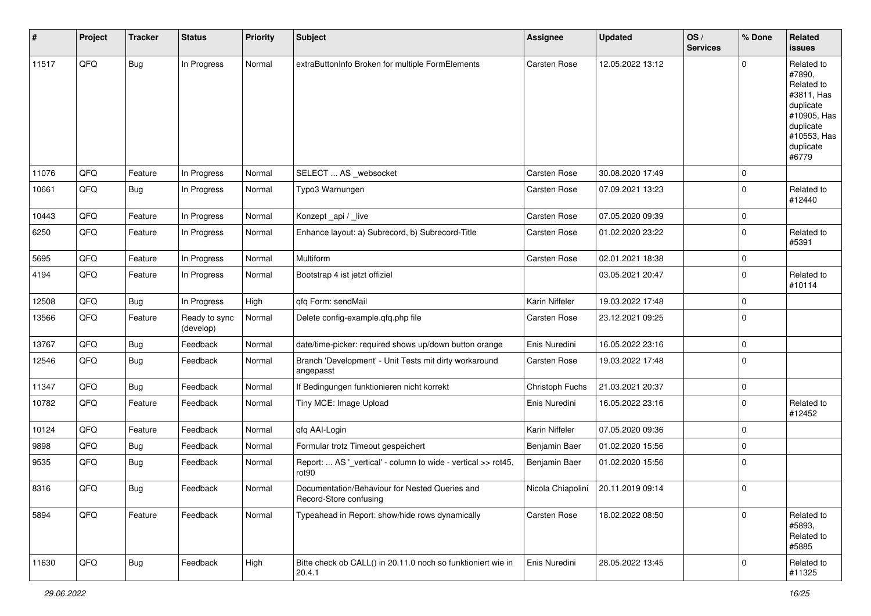| #     | Project | <b>Tracker</b> | <b>Status</b>              | <b>Priority</b> | Subject                                                                            | <b>Assignee</b>     | <b>Updated</b>   | OS/<br><b>Services</b> | % Done       | Related<br><b>issues</b>                                                                                                       |
|-------|---------|----------------|----------------------------|-----------------|------------------------------------------------------------------------------------|---------------------|------------------|------------------------|--------------|--------------------------------------------------------------------------------------------------------------------------------|
| 11517 | QFO     | Bug            | In Progress                | Normal          | extraButtonInfo Broken for multiple FormElements                                   | Carsten Rose        | 12.05.2022 13:12 |                        | $\Omega$     | Related to<br>#7890,<br>Related to<br>#3811, Has<br>duplicate<br>#10905, Has<br>duplicate<br>#10553, Has<br>duplicate<br>#6779 |
| 11076 | QFQ     | Feature        | In Progress                | Normal          | SELECT  AS _websocket                                                              | <b>Carsten Rose</b> | 30.08.2020 17:49 |                        | $\mathbf 0$  |                                                                                                                                |
| 10661 | QFQ     | Bug            | In Progress                | Normal          | Typo3 Warnungen                                                                    | Carsten Rose        | 07.09.2021 13:23 |                        | $\mathbf 0$  | Related to<br>#12440                                                                                                           |
| 10443 | QFQ     | Feature        | In Progress                | Normal          | Konzept_api / _live                                                                | Carsten Rose        | 07.05.2020 09:39 |                        | $\mathbf 0$  |                                                                                                                                |
| 6250  | QFQ     | Feature        | In Progress                | Normal          | Enhance layout: a) Subrecord, b) Subrecord-Title                                   | Carsten Rose        | 01.02.2020 23:22 |                        | $\mathbf 0$  | Related to<br>#5391                                                                                                            |
| 5695  | QFQ     | Feature        | In Progress                | Normal          | Multiform                                                                          | Carsten Rose        | 02.01.2021 18:38 |                        | $\mathbf 0$  |                                                                                                                                |
| 4194  | QFQ     | Feature        | In Progress                | Normal          | Bootstrap 4 ist jetzt offiziel                                                     |                     | 03.05.2021 20:47 |                        | $\mathbf 0$  | Related to<br>#10114                                                                                                           |
| 12508 | QFQ     | <b>Bug</b>     | In Progress                | High            | qfq Form: sendMail                                                                 | Karin Niffeler      | 19.03.2022 17:48 |                        | $\mathbf 0$  |                                                                                                                                |
| 13566 | QFQ     | Feature        | Ready to sync<br>(develop) | Normal          | Delete config-example.qfq.php file                                                 | Carsten Rose        | 23.12.2021 09:25 |                        | $\mathbf 0$  |                                                                                                                                |
| 13767 | QFQ     | <b>Bug</b>     | Feedback                   | Normal          | date/time-picker: required shows up/down button orange                             | Enis Nuredini       | 16.05.2022 23:16 |                        | $\mathbf 0$  |                                                                                                                                |
| 12546 | QFQ     | Bug            | Feedback                   | Normal          | Branch 'Development' - Unit Tests mit dirty workaround<br>angepasst                | Carsten Rose        | 19.03.2022 17:48 |                        | $\mathbf 0$  |                                                                                                                                |
| 11347 | QFQ     | Bug            | Feedback                   | Normal          | If Bedingungen funktionieren nicht korrekt                                         | Christoph Fuchs     | 21.03.2021 20:37 |                        | $\mathbf 0$  |                                                                                                                                |
| 10782 | QFQ     | Feature        | Feedback                   | Normal          | Tiny MCE: Image Upload                                                             | Enis Nuredini       | 16.05.2022 23:16 |                        | $\mathbf 0$  | Related to<br>#12452                                                                                                           |
| 10124 | QFQ     | Feature        | Feedback                   | Normal          | qfq AAI-Login                                                                      | Karin Niffeler      | 07.05.2020 09:36 |                        | $\mathbf 0$  |                                                                                                                                |
| 9898  | QFQ     | <b>Bug</b>     | Feedback                   | Normal          | Formular trotz Timeout gespeichert                                                 | Benjamin Baer       | 01.02.2020 15:56 |                        | 0            |                                                                                                                                |
| 9535  | QFQ     | Bug            | Feedback                   | Normal          | Report:  AS '_vertical' - column to wide - vertical >> rot45,<br>rot <sub>90</sub> | Benjamin Baer       | 01.02.2020 15:56 |                        | $\mathbf 0$  |                                                                                                                                |
| 8316  | QFQ     | Bug            | Feedback                   | Normal          | Documentation/Behaviour for Nested Queries and<br>Record-Store confusing           | Nicola Chiapolini   | 20.11.2019 09:14 |                        | $\mathbf 0$  |                                                                                                                                |
| 5894  | QFO     | Feature        | Feedback                   | Normal          | Typeahead in Report: show/hide rows dynamically                                    | Carsten Rose        | 18.02.2022 08:50 |                        | $\Omega$     | Related to<br>#5893,<br>Related to<br>#5885                                                                                    |
| 11630 | QFO     | <b>Bug</b>     | Feedback                   | High            | Bitte check ob CALL() in 20.11.0 noch so funktioniert wie in<br>20.4.1             | Enis Nuredini       | 28.05.2022 13:45 |                        | $\mathbf{0}$ | Related to<br>#11325                                                                                                           |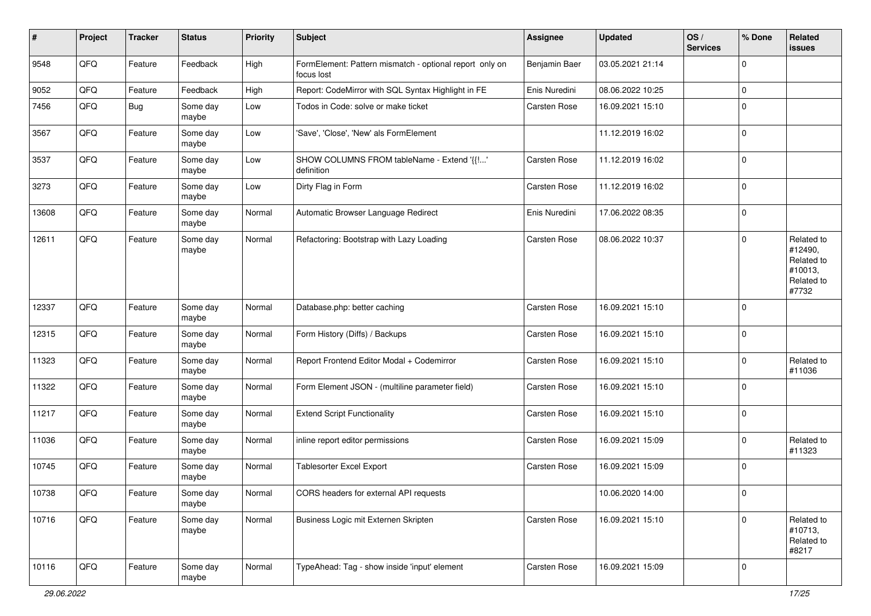| #     | Project | <b>Tracker</b> | <b>Status</b>     | <b>Priority</b> | Subject                                                               | <b>Assignee</b> | <b>Updated</b>   | OS/<br><b>Services</b> | % Done      | Related<br>issues                                                     |
|-------|---------|----------------|-------------------|-----------------|-----------------------------------------------------------------------|-----------------|------------------|------------------------|-------------|-----------------------------------------------------------------------|
| 9548  | QFQ     | Feature        | Feedback          | High            | FormElement: Pattern mismatch - optional report only on<br>focus lost | Benjamin Baer   | 03.05.2021 21:14 |                        | $\Omega$    |                                                                       |
| 9052  | QFQ     | Feature        | Feedback          | High            | Report: CodeMirror with SQL Syntax Highlight in FE                    | Enis Nuredini   | 08.06.2022 10:25 |                        | $\mathbf 0$ |                                                                       |
| 7456  | QFQ     | Bug            | Some day<br>maybe | Low             | Todos in Code: solve or make ticket                                   | Carsten Rose    | 16.09.2021 15:10 |                        | $\Omega$    |                                                                       |
| 3567  | QFQ     | Feature        | Some day<br>maybe | Low             | 'Save', 'Close', 'New' als FormElement                                |                 | 11.12.2019 16:02 |                        | $\Omega$    |                                                                       |
| 3537  | QFQ     | Feature        | Some day<br>maybe | Low             | SHOW COLUMNS FROM tableName - Extend '{{!'<br>definition              | Carsten Rose    | 11.12.2019 16:02 |                        | $\Omega$    |                                                                       |
| 3273  | QFQ     | Feature        | Some day<br>maybe | Low             | Dirty Flag in Form                                                    | Carsten Rose    | 11.12.2019 16:02 |                        | $\mathbf 0$ |                                                                       |
| 13608 | QFQ     | Feature        | Some day<br>maybe | Normal          | Automatic Browser Language Redirect                                   | Enis Nuredini   | 17.06.2022 08:35 |                        | $\mathbf 0$ |                                                                       |
| 12611 | QFQ     | Feature        | Some day<br>maybe | Normal          | Refactoring: Bootstrap with Lazy Loading                              | Carsten Rose    | 08.06.2022 10:37 |                        | $\mathbf 0$ | Related to<br>#12490,<br>Related to<br>#10013,<br>Related to<br>#7732 |
| 12337 | QFQ     | Feature        | Some day<br>maybe | Normal          | Database.php: better caching                                          | Carsten Rose    | 16.09.2021 15:10 |                        | $\Omega$    |                                                                       |
| 12315 | QFQ     | Feature        | Some day<br>maybe | Normal          | Form History (Diffs) / Backups                                        | Carsten Rose    | 16.09.2021 15:10 |                        | $\mathbf 0$ |                                                                       |
| 11323 | QFQ     | Feature        | Some day<br>maybe | Normal          | Report Frontend Editor Modal + Codemirror                             | Carsten Rose    | 16.09.2021 15:10 |                        | $\mathbf 0$ | Related to<br>#11036                                                  |
| 11322 | QFQ     | Feature        | Some day<br>maybe | Normal          | Form Element JSON - (multiline parameter field)                       | Carsten Rose    | 16.09.2021 15:10 |                        | $\mathbf 0$ |                                                                       |
| 11217 | QFQ     | Feature        | Some day<br>maybe | Normal          | <b>Extend Script Functionality</b>                                    | Carsten Rose    | 16.09.2021 15:10 |                        | $\Omega$    |                                                                       |
| 11036 | QFQ     | Feature        | Some day<br>maybe | Normal          | inline report editor permissions                                      | Carsten Rose    | 16.09.2021 15:09 |                        | $\mathbf 0$ | Related to<br>#11323                                                  |
| 10745 | QFQ     | Feature        | Some day<br>maybe | Normal          | Tablesorter Excel Export                                              | Carsten Rose    | 16.09.2021 15:09 |                        | $\Omega$    |                                                                       |
| 10738 | QFQ     | Feature        | Some day<br>maybe | Normal          | CORS headers for external API requests                                |                 | 10.06.2020 14:00 |                        | $\pmb{0}$   |                                                                       |
| 10716 | QFQ     | Feature        | Some day<br>maybe | Normal          | Business Logic mit Externen Skripten                                  | Carsten Rose    | 16.09.2021 15:10 |                        | $\mathbf 0$ | Related to<br>#10713,<br>Related to<br>#8217                          |
| 10116 | QFQ     | Feature        | Some day<br>maybe | Normal          | TypeAhead: Tag - show inside 'input' element                          | Carsten Rose    | 16.09.2021 15:09 |                        | $\mathbf 0$ |                                                                       |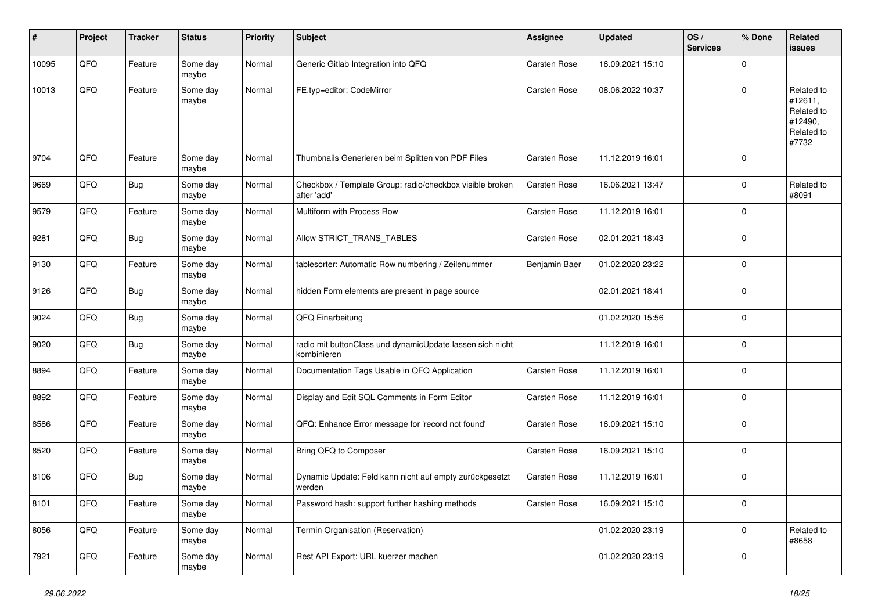| #     | Project | <b>Tracker</b> | <b>Status</b>     | <b>Priority</b> | <b>Subject</b>                                                           | <b>Assignee</b>     | <b>Updated</b>   | OS/<br><b>Services</b> | % Done      | <b>Related</b><br><b>issues</b>                                       |
|-------|---------|----------------|-------------------|-----------------|--------------------------------------------------------------------------|---------------------|------------------|------------------------|-------------|-----------------------------------------------------------------------|
| 10095 | QFQ     | Feature        | Some day<br>maybe | Normal          | Generic Gitlab Integration into QFQ                                      | Carsten Rose        | 16.09.2021 15:10 |                        | $\mathbf 0$ |                                                                       |
| 10013 | QFQ     | Feature        | Some day<br>maybe | Normal          | FE.typ=editor: CodeMirror                                                | <b>Carsten Rose</b> | 08.06.2022 10:37 |                        | $\mathbf 0$ | Related to<br>#12611,<br>Related to<br>#12490,<br>Related to<br>#7732 |
| 9704  | QFQ     | Feature        | Some day<br>maybe | Normal          | Thumbnails Generieren beim Splitten von PDF Files                        | <b>Carsten Rose</b> | 11.12.2019 16:01 |                        | $\mathbf 0$ |                                                                       |
| 9669  | QFQ     | Bug            | Some day<br>maybe | Normal          | Checkbox / Template Group: radio/checkbox visible broken<br>after 'add'  | Carsten Rose        | 16.06.2021 13:47 |                        | $\Omega$    | Related to<br>#8091                                                   |
| 9579  | QFQ     | Feature        | Some day<br>maybe | Normal          | Multiform with Process Row                                               | Carsten Rose        | 11.12.2019 16:01 |                        | $\mathbf 0$ |                                                                       |
| 9281  | QFQ     | Bug            | Some day<br>maybe | Normal          | Allow STRICT_TRANS_TABLES                                                | Carsten Rose        | 02.01.2021 18:43 |                        | $\mathbf 0$ |                                                                       |
| 9130  | QFQ     | Feature        | Some day<br>maybe | Normal          | tablesorter: Automatic Row numbering / Zeilenummer                       | Benjamin Baer       | 01.02.2020 23:22 |                        | $\mathbf 0$ |                                                                       |
| 9126  | QFQ     | Bug            | Some day<br>maybe | Normal          | hidden Form elements are present in page source                          |                     | 02.01.2021 18:41 |                        | $\mathbf 0$ |                                                                       |
| 9024  | QFQ     | <b>Bug</b>     | Some day<br>maybe | Normal          | QFQ Einarbeitung                                                         |                     | 01.02.2020 15:56 |                        | $\mathbf 0$ |                                                                       |
| 9020  | QFQ     | <b>Bug</b>     | Some day<br>maybe | Normal          | radio mit buttonClass und dynamicUpdate lassen sich nicht<br>kombinieren |                     | 11.12.2019 16:01 |                        | $\mathbf 0$ |                                                                       |
| 8894  | QFQ     | Feature        | Some day<br>maybe | Normal          | Documentation Tags Usable in QFQ Application                             | <b>Carsten Rose</b> | 11.12.2019 16:01 |                        | $\mathbf 0$ |                                                                       |
| 8892  | QFQ     | Feature        | Some day<br>maybe | Normal          | Display and Edit SQL Comments in Form Editor                             | Carsten Rose        | 11.12.2019 16:01 |                        | $\mathbf 0$ |                                                                       |
| 8586  | QFQ     | Feature        | Some day<br>maybe | Normal          | QFQ: Enhance Error message for 'record not found'                        | Carsten Rose        | 16.09.2021 15:10 |                        | $\mathbf 0$ |                                                                       |
| 8520  | QFQ     | Feature        | Some day<br>maybe | Normal          | Bring QFQ to Composer                                                    | Carsten Rose        | 16.09.2021 15:10 |                        | $\mathbf 0$ |                                                                       |
| 8106  | QFQ     | <b>Bug</b>     | Some day<br>maybe | Normal          | Dynamic Update: Feld kann nicht auf empty zurückgesetzt<br>werden        | Carsten Rose        | 11.12.2019 16:01 |                        | $\mathbf 0$ |                                                                       |
| 8101  | QFO     | Feature        | Some day<br>maybe | Normal          | Password hash: support further hashing methods                           | Carsten Rose        | 16.09.2021 15:10 |                        | $\mathbf 0$ |                                                                       |
| 8056  | QFO     | Feature        | Some day<br>maybe | Normal          | Termin Organisation (Reservation)                                        |                     | 01.02.2020 23:19 |                        | $\mathbf 0$ | Related to<br>#8658                                                   |
| 7921  | QFG     | Feature        | Some day<br>maybe | Normal          | Rest API Export: URL kuerzer machen                                      |                     | 01.02.2020 23:19 |                        | $\mathbf 0$ |                                                                       |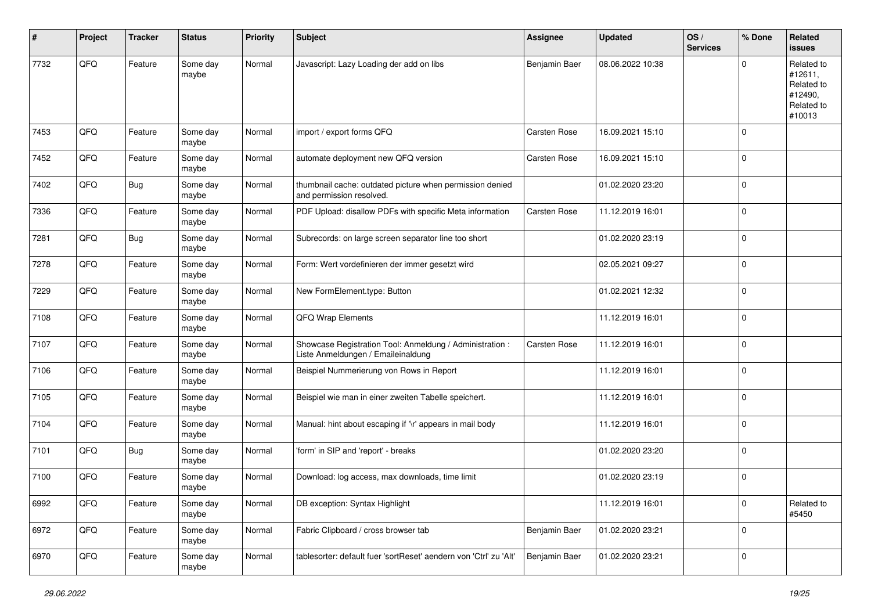| ∦    | Project | <b>Tracker</b> | <b>Status</b>     | <b>Priority</b> | <b>Subject</b>                                                                                 | <b>Assignee</b>     | <b>Updated</b>   | OS/<br><b>Services</b> | % Done         | Related<br><b>issues</b>                                               |
|------|---------|----------------|-------------------|-----------------|------------------------------------------------------------------------------------------------|---------------------|------------------|------------------------|----------------|------------------------------------------------------------------------|
| 7732 | QFQ     | Feature        | Some day<br>maybe | Normal          | Javascript: Lazy Loading der add on libs                                                       | Benjamin Baer       | 08.06.2022 10:38 |                        | $\mathbf 0$    | Related to<br>#12611,<br>Related to<br>#12490,<br>Related to<br>#10013 |
| 7453 | QFQ     | Feature        | Some day<br>maybe | Normal          | import / export forms QFQ                                                                      | Carsten Rose        | 16.09.2021 15:10 |                        | $\overline{0}$ |                                                                        |
| 7452 | QFQ     | Feature        | Some day<br>maybe | Normal          | automate deployment new QFQ version                                                            | <b>Carsten Rose</b> | 16.09.2021 15:10 |                        | $\overline{0}$ |                                                                        |
| 7402 | QFQ     | <b>Bug</b>     | Some day<br>maybe | Normal          | thumbnail cache: outdated picture when permission denied<br>and permission resolved.           |                     | 01.02.2020 23:20 |                        | $\overline{0}$ |                                                                        |
| 7336 | QFQ     | Feature        | Some day<br>maybe | Normal          | PDF Upload: disallow PDFs with specific Meta information                                       | Carsten Rose        | 11.12.2019 16:01 |                        | $\pmb{0}$      |                                                                        |
| 7281 | QFQ     | <b>Bug</b>     | Some day<br>maybe | Normal          | Subrecords: on large screen separator line too short                                           |                     | 01.02.2020 23:19 |                        | $\overline{0}$ |                                                                        |
| 7278 | QFQ     | Feature        | Some day<br>maybe | Normal          | Form: Wert vordefinieren der immer gesetzt wird                                                |                     | 02.05.2021 09:27 |                        | $\mathbf 0$    |                                                                        |
| 7229 | QFQ     | Feature        | Some day<br>maybe | Normal          | New FormElement.type: Button                                                                   |                     | 01.02.2021 12:32 |                        | $\mathbf 0$    |                                                                        |
| 7108 | QFQ     | Feature        | Some day<br>maybe | Normal          | QFQ Wrap Elements                                                                              |                     | 11.12.2019 16:01 |                        | $\overline{0}$ |                                                                        |
| 7107 | QFQ     | Feature        | Some day<br>maybe | Normal          | Showcase Registration Tool: Anmeldung / Administration :<br>Liste Anmeldungen / Emaileinaldung | Carsten Rose        | 11.12.2019 16:01 |                        | $\overline{0}$ |                                                                        |
| 7106 | QFQ     | Feature        | Some day<br>maybe | Normal          | Beispiel Nummerierung von Rows in Report                                                       |                     | 11.12.2019 16:01 |                        | $\overline{0}$ |                                                                        |
| 7105 | QFQ     | Feature        | Some day<br>maybe | Normal          | Beispiel wie man in einer zweiten Tabelle speichert.                                           |                     | 11.12.2019 16:01 |                        | $\overline{0}$ |                                                                        |
| 7104 | QFQ     | Feature        | Some day<br>maybe | Normal          | Manual: hint about escaping if '\r' appears in mail body                                       |                     | 11.12.2019 16:01 |                        | $\overline{0}$ |                                                                        |
| 7101 | QFQ     | Bug            | Some day<br>maybe | Normal          | 'form' in SIP and 'report' - breaks                                                            |                     | 01.02.2020 23:20 |                        | $\overline{0}$ |                                                                        |
| 7100 | QFQ     | Feature        | Some day<br>maybe | Normal          | Download: log access, max downloads, time limit                                                |                     | 01.02.2020 23:19 |                        | $\mathbf 0$    |                                                                        |
| 6992 | QFO     | Feature        | Some day<br>maybe | Normal          | DB exception: Syntax Highlight                                                                 |                     | 11.12.2019 16:01 |                        | $\overline{0}$ | Related to<br>#5450                                                    |
| 6972 | QFO     | Feature        | Some day<br>maybe | Normal          | Fabric Clipboard / cross browser tab                                                           | Benjamin Baer       | 01.02.2020 23:21 |                        | $\mathbf 0$    |                                                                        |
| 6970 | QFG     | Feature        | Some day<br>maybe | Normal          | tablesorter: default fuer 'sortReset' aendern von 'Ctrl' zu 'Alt'                              | Benjamin Baer       | 01.02.2020 23:21 |                        | $\mathbf 0$    |                                                                        |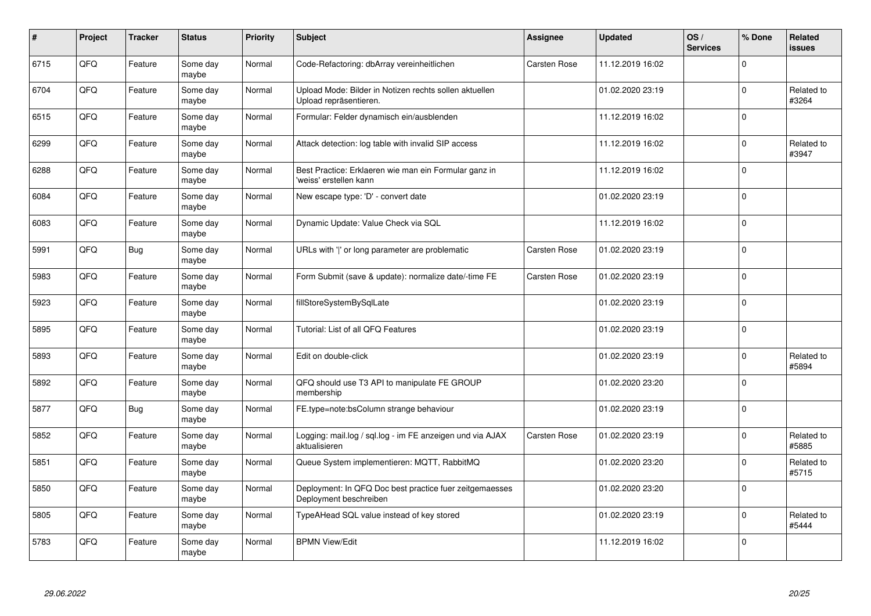| $\sharp$ | Project | <b>Tracker</b> | <b>Status</b>     | <b>Priority</b> | <b>Subject</b>                                                                    | <b>Assignee</b> | <b>Updated</b>   | OS/<br><b>Services</b> | % Done      | Related<br><b>issues</b> |
|----------|---------|----------------|-------------------|-----------------|-----------------------------------------------------------------------------------|-----------------|------------------|------------------------|-------------|--------------------------|
| 6715     | QFQ     | Feature        | Some day<br>maybe | Normal          | Code-Refactoring: dbArray vereinheitlichen                                        | Carsten Rose    | 11.12.2019 16:02 |                        | $\Omega$    |                          |
| 6704     | QFQ     | Feature        | Some day<br>maybe | Normal          | Upload Mode: Bilder in Notizen rechts sollen aktuellen<br>Upload repräsentieren.  |                 | 01.02.2020 23:19 |                        | $\mathbf 0$ | Related to<br>#3264      |
| 6515     | QFQ     | Feature        | Some day<br>maybe | Normal          | Formular: Felder dynamisch ein/ausblenden                                         |                 | 11.12.2019 16:02 |                        | $\mathbf 0$ |                          |
| 6299     | QFQ     | Feature        | Some day<br>maybe | Normal          | Attack detection: log table with invalid SIP access                               |                 | 11.12.2019 16:02 |                        | $\Omega$    | Related to<br>#3947      |
| 6288     | QFQ     | Feature        | Some day<br>maybe | Normal          | Best Practice: Erklaeren wie man ein Formular ganz in<br>'weiss' erstellen kann   |                 | 11.12.2019 16:02 |                        | $\mathbf 0$ |                          |
| 6084     | QFQ     | Feature        | Some day<br>maybe | Normal          | New escape type: 'D' - convert date                                               |                 | 01.02.2020 23:19 |                        | $\Omega$    |                          |
| 6083     | QFQ     | Feature        | Some day<br>maybe | Normal          | Dynamic Update: Value Check via SQL                                               |                 | 11.12.2019 16:02 |                        | $\mathbf 0$ |                          |
| 5991     | QFQ     | Bug            | Some day<br>maybe | Normal          | URLs with ' ' or long parameter are problematic                                   | Carsten Rose    | 01.02.2020 23:19 |                        | $\Omega$    |                          |
| 5983     | QFQ     | Feature        | Some day<br>maybe | Normal          | Form Submit (save & update): normalize date/-time FE                              | Carsten Rose    | 01.02.2020 23:19 |                        | $\Omega$    |                          |
| 5923     | QFQ     | Feature        | Some day<br>maybe | Normal          | fillStoreSystemBySqlLate                                                          |                 | 01.02.2020 23:19 |                        | $\mathbf 0$ |                          |
| 5895     | QFQ     | Feature        | Some day<br>maybe | Normal          | Tutorial: List of all QFQ Features                                                |                 | 01.02.2020 23:19 |                        | $\mathbf 0$ |                          |
| 5893     | QFQ     | Feature        | Some day<br>maybe | Normal          | Edit on double-click                                                              |                 | 01.02.2020 23:19 |                        | $\mathbf 0$ | Related to<br>#5894      |
| 5892     | QFQ     | Feature        | Some day<br>maybe | Normal          | QFQ should use T3 API to manipulate FE GROUP<br>membership                        |                 | 01.02.2020 23:20 |                        | $\mathbf 0$ |                          |
| 5877     | QFQ     | Bug            | Some day<br>maybe | Normal          | FE.type=note:bsColumn strange behaviour                                           |                 | 01.02.2020 23:19 |                        | $\mathbf 0$ |                          |
| 5852     | QFQ     | Feature        | Some day<br>maybe | Normal          | Logging: mail.log / sql.log - im FE anzeigen und via AJAX<br>aktualisieren        | Carsten Rose    | 01.02.2020 23:19 |                        | $\Omega$    | Related to<br>#5885      |
| 5851     | QFQ     | Feature        | Some day<br>maybe | Normal          | Queue System implementieren: MQTT, RabbitMQ                                       |                 | 01.02.2020 23:20 |                        | $\Omega$    | Related to<br>#5715      |
| 5850     | QFQ     | Feature        | Some day<br>maybe | Normal          | Deployment: In QFQ Doc best practice fuer zeitgemaesses<br>Deployment beschreiben |                 | 01.02.2020 23:20 |                        | $\Omega$    |                          |
| 5805     | QFQ     | Feature        | Some day<br>maybe | Normal          | TypeAHead SQL value instead of key stored                                         |                 | 01.02.2020 23:19 |                        | $\mathbf 0$ | Related to<br>#5444      |
| 5783     | QFQ     | Feature        | Some day<br>maybe | Normal          | <b>BPMN View/Edit</b>                                                             |                 | 11.12.2019 16:02 |                        | $\Omega$    |                          |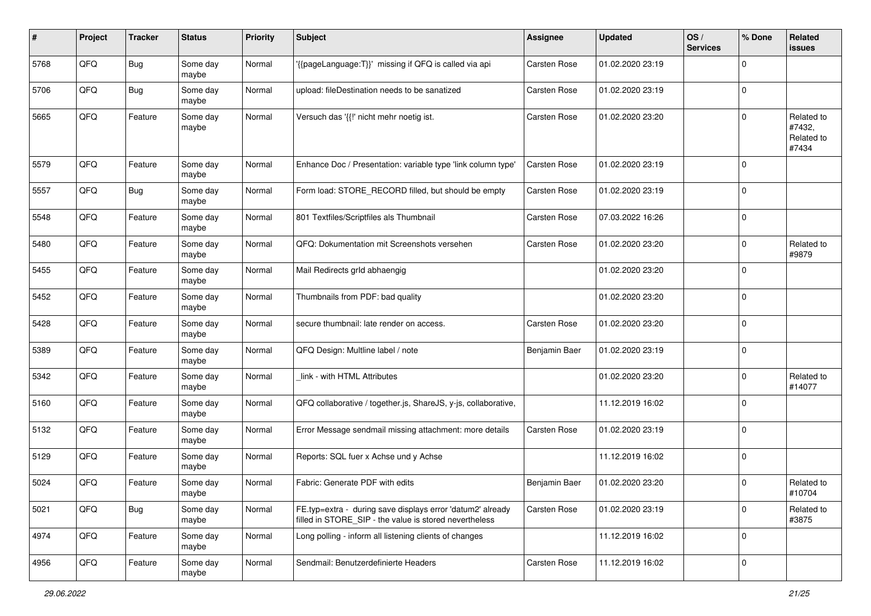| #    | Project | <b>Tracker</b> | <b>Status</b>     | <b>Priority</b> | <b>Subject</b>                                                                                                       | Assignee      | <b>Updated</b>   | OS/<br><b>Services</b> | % Done      | <b>Related</b><br><b>issues</b>             |
|------|---------|----------------|-------------------|-----------------|----------------------------------------------------------------------------------------------------------------------|---------------|------------------|------------------------|-------------|---------------------------------------------|
| 5768 | QFQ     | Bug            | Some day<br>maybe | Normal          | '{{pageLanguage:T}}' missing if QFQ is called via api                                                                | Carsten Rose  | 01.02.2020 23:19 |                        | $\Omega$    |                                             |
| 5706 | QFQ     | Bug            | Some day<br>maybe | Normal          | upload: fileDestination needs to be sanatized                                                                        | Carsten Rose  | 01.02.2020 23:19 |                        | $\mathbf 0$ |                                             |
| 5665 | QFQ     | Feature        | Some day<br>maybe | Normal          | Versuch das '{{!' nicht mehr noetig ist.                                                                             | Carsten Rose  | 01.02.2020 23:20 |                        | $\Omega$    | Related to<br>#7432,<br>Related to<br>#7434 |
| 5579 | QFQ     | Feature        | Some day<br>maybe | Normal          | Enhance Doc / Presentation: variable type 'link column type'                                                         | Carsten Rose  | 01.02.2020 23:19 |                        | $\mathbf 0$ |                                             |
| 5557 | QFQ     | <b>Bug</b>     | Some day<br>maybe | Normal          | Form load: STORE_RECORD filled, but should be empty                                                                  | Carsten Rose  | 01.02.2020 23:19 |                        | $\mathbf 0$ |                                             |
| 5548 | QFQ     | Feature        | Some day<br>maybe | Normal          | 801 Textfiles/Scriptfiles als Thumbnail                                                                              | Carsten Rose  | 07.03.2022 16:26 |                        | $\mathbf 0$ |                                             |
| 5480 | QFQ     | Feature        | Some day<br>maybe | Normal          | QFQ: Dokumentation mit Screenshots versehen                                                                          | Carsten Rose  | 01.02.2020 23:20 |                        | $\mathbf 0$ | Related to<br>#9879                         |
| 5455 | QFQ     | Feature        | Some day<br>maybe | Normal          | Mail Redirects grld abhaengig                                                                                        |               | 01.02.2020 23:20 |                        | $\mathbf 0$ |                                             |
| 5452 | QFQ     | Feature        | Some day<br>maybe | Normal          | Thumbnails from PDF: bad quality                                                                                     |               | 01.02.2020 23:20 |                        | $\mathbf 0$ |                                             |
| 5428 | QFQ     | Feature        | Some day<br>maybe | Normal          | secure thumbnail: late render on access.                                                                             | Carsten Rose  | 01.02.2020 23:20 |                        | $\mathbf 0$ |                                             |
| 5389 | QFQ     | Feature        | Some day<br>maybe | Normal          | QFQ Design: Multline label / note                                                                                    | Benjamin Baer | 01.02.2020 23:19 |                        | $\mathbf 0$ |                                             |
| 5342 | QFQ     | Feature        | Some day<br>maybe | Normal          | link - with HTML Attributes                                                                                          |               | 01.02.2020 23:20 |                        | $\mathbf 0$ | Related to<br>#14077                        |
| 5160 | QFQ     | Feature        | Some day<br>maybe | Normal          | QFQ collaborative / together.js, ShareJS, y-js, collaborative,                                                       |               | 11.12.2019 16:02 |                        | $\mathbf 0$ |                                             |
| 5132 | QFQ     | Feature        | Some day<br>maybe | Normal          | Error Message sendmail missing attachment: more details                                                              | Carsten Rose  | 01.02.2020 23:19 |                        | $\Omega$    |                                             |
| 5129 | QFQ     | Feature        | Some day<br>maybe | Normal          | Reports: SQL fuer x Achse und y Achse                                                                                |               | 11.12.2019 16:02 |                        | $\mathbf 0$ |                                             |
| 5024 | QFQ     | Feature        | Some day<br>maybe | Normal          | Fabric: Generate PDF with edits                                                                                      | Benjamin Baer | 01.02.2020 23:20 |                        | $\mathbf 0$ | Related to<br>#10704                        |
| 5021 | QFQ     | Bug            | Some day<br>maybe | Normal          | FE.typ=extra - during save displays error 'datum2' already<br>filled in STORE_SIP - the value is stored nevertheless | Carsten Rose  | 01.02.2020 23:19 |                        | $\mathbf 0$ | Related to<br>#3875                         |
| 4974 | QFQ     | Feature        | Some day<br>maybe | Normal          | Long polling - inform all listening clients of changes                                                               |               | 11.12.2019 16:02 |                        | $\mathbf 0$ |                                             |
| 4956 | QFQ     | Feature        | Some day<br>maybe | Normal          | Sendmail: Benutzerdefinierte Headers                                                                                 | Carsten Rose  | 11.12.2019 16:02 |                        | $\mathbf 0$ |                                             |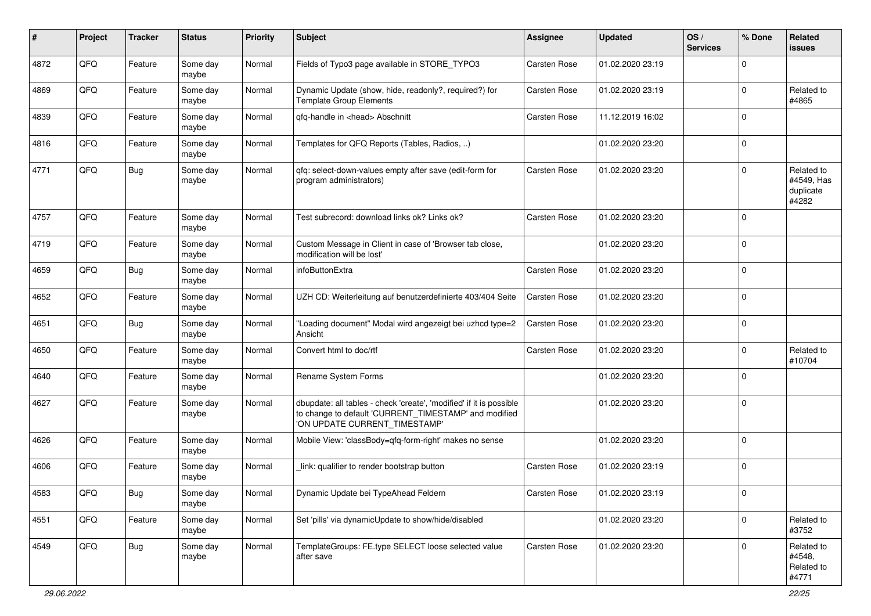| ∦    | Project | <b>Tracker</b> | <b>Status</b>     | Priority | <b>Subject</b>                                                                                                                                                | <b>Assignee</b>     | <b>Updated</b>   | OS/<br><b>Services</b> | % Done      | <b>Related</b><br>issues                       |
|------|---------|----------------|-------------------|----------|---------------------------------------------------------------------------------------------------------------------------------------------------------------|---------------------|------------------|------------------------|-------------|------------------------------------------------|
| 4872 | QFQ     | Feature        | Some day<br>maybe | Normal   | Fields of Typo3 page available in STORE_TYPO3                                                                                                                 | <b>Carsten Rose</b> | 01.02.2020 23:19 |                        | $\Omega$    |                                                |
| 4869 | QFQ     | Feature        | Some day<br>maybe | Normal   | Dynamic Update (show, hide, readonly?, required?) for<br><b>Template Group Elements</b>                                                                       | <b>Carsten Rose</b> | 01.02.2020 23:19 |                        | $\mathbf 0$ | Related to<br>#4865                            |
| 4839 | QFQ     | Feature        | Some day<br>maybe | Normal   | qfq-handle in <head> Abschnitt</head>                                                                                                                         | Carsten Rose        | 11.12.2019 16:02 |                        | $\Omega$    |                                                |
| 4816 | QFQ     | Feature        | Some day<br>maybe | Normal   | Templates for QFQ Reports (Tables, Radios, )                                                                                                                  |                     | 01.02.2020 23:20 |                        | $\mathbf 0$ |                                                |
| 4771 | QFQ     | <b>Bug</b>     | Some day<br>maybe | Normal   | qfq: select-down-values empty after save (edit-form for<br>program administrators)                                                                            | Carsten Rose        | 01.02.2020 23:20 |                        | $\Omega$    | Related to<br>#4549, Has<br>duplicate<br>#4282 |
| 4757 | QFQ     | Feature        | Some day<br>maybe | Normal   | Test subrecord: download links ok? Links ok?                                                                                                                  | Carsten Rose        | 01.02.2020 23:20 |                        | $\mathbf 0$ |                                                |
| 4719 | QFQ     | Feature        | Some day<br>maybe | Normal   | Custom Message in Client in case of 'Browser tab close,<br>modification will be lost'                                                                         |                     | 01.02.2020 23:20 |                        | $\mathbf 0$ |                                                |
| 4659 | QFQ     | Bug            | Some day<br>maybe | Normal   | infoButtonExtra                                                                                                                                               | Carsten Rose        | 01.02.2020 23:20 |                        | $\Omega$    |                                                |
| 4652 | QFQ     | Feature        | Some day<br>maybe | Normal   | UZH CD: Weiterleitung auf benutzerdefinierte 403/404 Seite                                                                                                    | Carsten Rose        | 01.02.2020 23:20 |                        | $\Omega$    |                                                |
| 4651 | QFQ     | <b>Bug</b>     | Some day<br>maybe | Normal   | "Loading document" Modal wird angezeigt bei uzhcd type=2<br>Ansicht                                                                                           | Carsten Rose        | 01.02.2020 23:20 |                        | $\mathbf 0$ |                                                |
| 4650 | QFQ     | Feature        | Some day<br>maybe | Normal   | Convert html to doc/rtf                                                                                                                                       | <b>Carsten Rose</b> | 01.02.2020 23:20 |                        | $\mathbf 0$ | Related to<br>#10704                           |
| 4640 | QFQ     | Feature        | Some day<br>maybe | Normal   | Rename System Forms                                                                                                                                           |                     | 01.02.2020 23:20 |                        | $\Omega$    |                                                |
| 4627 | QFQ     | Feature        | Some day<br>maybe | Normal   | dbupdate: all tables - check 'create', 'modified' if it is possible<br>to change to default 'CURRENT_TIMESTAMP' and modified<br>'ON UPDATE CURRENT_TIMESTAMP' |                     | 01.02.2020 23:20 |                        | $\mathbf 0$ |                                                |
| 4626 | QFQ     | Feature        | Some day<br>maybe | Normal   | Mobile View: 'classBody=qfq-form-right' makes no sense                                                                                                        |                     | 01.02.2020 23:20 |                        | $\Omega$    |                                                |
| 4606 | QFQ     | Feature        | Some day<br>maybe | Normal   | link: qualifier to render bootstrap button                                                                                                                    | <b>Carsten Rose</b> | 01.02.2020 23:19 |                        | $\Omega$    |                                                |
| 4583 | QFO     | Bug            | Some day<br>maybe | Normal   | Dynamic Update bei TypeAhead Feldern                                                                                                                          | Carsten Rose        | 01.02.2020 23:19 |                        | $\pmb{0}$   |                                                |
| 4551 | QFQ     | Feature        | Some day<br>maybe | Normal   | Set 'pills' via dynamicUpdate to show/hide/disabled                                                                                                           |                     | 01.02.2020 23:20 |                        | $\mathbf 0$ | Related to<br>#3752                            |
| 4549 | QFQ     | Bug            | Some day<br>maybe | Normal   | TemplateGroups: FE.type SELECT loose selected value<br>after save                                                                                             | Carsten Rose        | 01.02.2020 23:20 |                        | $\mathbf 0$ | Related to<br>#4548,<br>Related to<br>#4771    |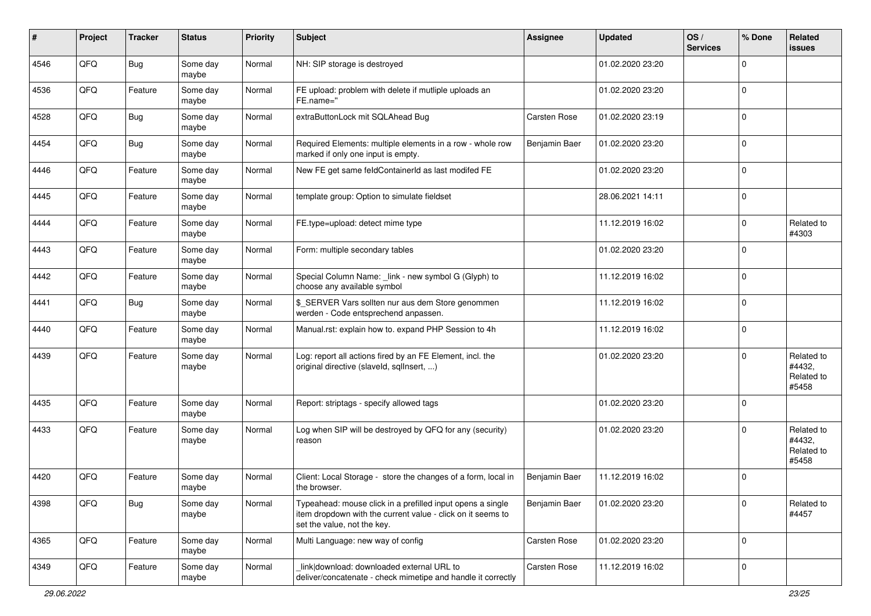| #    | Project | <b>Tracker</b> | <b>Status</b>     | <b>Priority</b> | <b>Subject</b>                                                                                                                                           | <b>Assignee</b> | <b>Updated</b>   | OS/<br><b>Services</b> | % Done         | Related<br><b>issues</b>                    |
|------|---------|----------------|-------------------|-----------------|----------------------------------------------------------------------------------------------------------------------------------------------------------|-----------------|------------------|------------------------|----------------|---------------------------------------------|
| 4546 | QFQ     | Bug            | Some day<br>maybe | Normal          | NH: SIP storage is destroyed                                                                                                                             |                 | 01.02.2020 23:20 |                        | $\mathbf 0$    |                                             |
| 4536 | QFQ     | Feature        | Some day<br>maybe | Normal          | FE upload: problem with delete if mutliple uploads an<br>FE.name="                                                                                       |                 | 01.02.2020 23:20 |                        | $\overline{0}$ |                                             |
| 4528 | QFQ     | Bug            | Some day<br>maybe | Normal          | extraButtonLock mit SQLAhead Bug                                                                                                                         | Carsten Rose    | 01.02.2020 23:19 |                        | $\mathbf 0$    |                                             |
| 4454 | QFQ     | <b>Bug</b>     | Some day<br>maybe | Normal          | Required Elements: multiple elements in a row - whole row<br>marked if only one input is empty.                                                          | Benjamin Baer   | 01.02.2020 23:20 |                        | $\overline{0}$ |                                             |
| 4446 | QFQ     | Feature        | Some day<br>maybe | Normal          | New FE get same feldContainerId as last modifed FE                                                                                                       |                 | 01.02.2020 23:20 |                        | $\mathbf 0$    |                                             |
| 4445 | QFQ     | Feature        | Some day<br>maybe | Normal          | template group: Option to simulate fieldset                                                                                                              |                 | 28.06.2021 14:11 |                        | $\overline{0}$ |                                             |
| 4444 | QFQ     | Feature        | Some day<br>maybe | Normal          | FE.type=upload: detect mime type                                                                                                                         |                 | 11.12.2019 16:02 |                        | $\mathbf 0$    | Related to<br>#4303                         |
| 4443 | QFQ     | Feature        | Some day<br>maybe | Normal          | Form: multiple secondary tables                                                                                                                          |                 | 01.02.2020 23:20 |                        | $\overline{0}$ |                                             |
| 4442 | QFQ     | Feature        | Some day<br>maybe | Normal          | Special Column Name: _link - new symbol G (Glyph) to<br>choose any available symbol                                                                      |                 | 11.12.2019 16:02 |                        | $\overline{0}$ |                                             |
| 4441 | QFQ     | <b>Bug</b>     | Some day<br>maybe | Normal          | \$_SERVER Vars sollten nur aus dem Store genommen<br>werden - Code entsprechend anpassen.                                                                |                 | 11.12.2019 16:02 |                        | $\mathbf 0$    |                                             |
| 4440 | QFQ     | Feature        | Some day<br>maybe | Normal          | Manual.rst: explain how to. expand PHP Session to 4h                                                                                                     |                 | 11.12.2019 16:02 |                        | $\overline{0}$ |                                             |
| 4439 | QFQ     | Feature        | Some day<br>maybe | Normal          | Log: report all actions fired by an FE Element, incl. the<br>original directive (slaveld, sqllnsert, )                                                   |                 | 01.02.2020 23:20 |                        | $\mathbf 0$    | Related to<br>#4432,<br>Related to<br>#5458 |
| 4435 | QFQ     | Feature        | Some day<br>maybe | Normal          | Report: striptags - specify allowed tags                                                                                                                 |                 | 01.02.2020 23:20 |                        | $\overline{0}$ |                                             |
| 4433 | QFQ     | Feature        | Some day<br>maybe | Normal          | Log when SIP will be destroyed by QFQ for any (security)<br>reason                                                                                       |                 | 01.02.2020 23:20 |                        | $\mathbf 0$    | Related to<br>#4432,<br>Related to<br>#5458 |
| 4420 | QFQ     | Feature        | Some day<br>maybe | Normal          | Client: Local Storage - store the changes of a form, local in<br>the browser.                                                                            | Benjamin Baer   | 11.12.2019 16:02 |                        | $\mathbf 0$    |                                             |
| 4398 | QFQ     | <b>Bug</b>     | Some day<br>maybe | Normal          | Typeahead: mouse click in a prefilled input opens a single<br>item dropdown with the current value - click on it seems to<br>set the value, not the key. | Benjamin Baer   | 01.02.2020 23:20 |                        | $\mathbf 0$    | Related to<br>#4457                         |
| 4365 | QFQ     | Feature        | Some day<br>maybe | Normal          | Multi Language: new way of config                                                                                                                        | Carsten Rose    | 01.02.2020 23:20 |                        | $\mathbf 0$    |                                             |
| 4349 | QFQ     | Feature        | Some day<br>maybe | Normal          | link download: downloaded external URL to<br>deliver/concatenate - check mimetipe and handle it correctly                                                | Carsten Rose    | 11.12.2019 16:02 |                        | $\mathbf 0$    |                                             |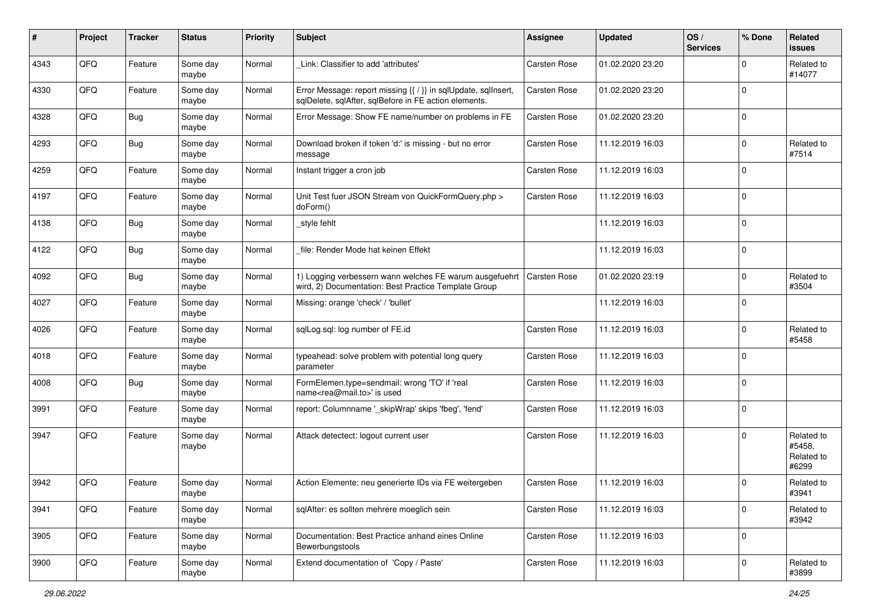| ∦    | Project | <b>Tracker</b> | <b>Status</b>     | <b>Priority</b> | <b>Subject</b>                                                                                                          | Assignee            | <b>Updated</b>   | OS/<br><b>Services</b> | % Done      | Related<br><b>issues</b>                    |
|------|---------|----------------|-------------------|-----------------|-------------------------------------------------------------------------------------------------------------------------|---------------------|------------------|------------------------|-------------|---------------------------------------------|
| 4343 | QFQ     | Feature        | Some day<br>maybe | Normal          | Link: Classifier to add 'attributes'                                                                                    | <b>Carsten Rose</b> | 01.02.2020 23:20 |                        | $\mathbf 0$ | Related to<br>#14077                        |
| 4330 | QFQ     | Feature        | Some day<br>maybe | Normal          | Error Message: report missing {{ / }} in sqlUpdate, sqlInsert,<br>sqlDelete, sqlAfter, sqlBefore in FE action elements. | <b>Carsten Rose</b> | 01.02.2020 23:20 |                        | $\mathbf 0$ |                                             |
| 4328 | QFQ     | <b>Bug</b>     | Some day<br>maybe | Normal          | Error Message: Show FE name/number on problems in FE                                                                    | Carsten Rose        | 01.02.2020 23:20 |                        | $\mathbf 0$ |                                             |
| 4293 | QFQ     | <b>Bug</b>     | Some day<br>maybe | Normal          | Download broken if token 'd:' is missing - but no error<br>message                                                      | Carsten Rose        | 11.12.2019 16:03 |                        | $\mathbf 0$ | Related to<br>#7514                         |
| 4259 | QFQ     | Feature        | Some day<br>maybe | Normal          | Instant trigger a cron job                                                                                              | <b>Carsten Rose</b> | 11.12.2019 16:03 |                        | $\mathbf 0$ |                                             |
| 4197 | QFQ     | Feature        | Some day<br>maybe | Normal          | Unit Test fuer JSON Stream von QuickFormQuery.php ><br>doForm()                                                         | <b>Carsten Rose</b> | 11.12.2019 16:03 |                        | $\mathbf 0$ |                                             |
| 4138 | QFQ     | <b>Bug</b>     | Some day<br>maybe | Normal          | _style fehlt                                                                                                            |                     | 11.12.2019 16:03 |                        | $\pmb{0}$   |                                             |
| 4122 | QFQ     | Bug            | Some day<br>maybe | Normal          | file: Render Mode hat keinen Effekt                                                                                     |                     | 11.12.2019 16:03 |                        | $\mathbf 0$ |                                             |
| 4092 | QFQ     | <b>Bug</b>     | Some day<br>maybe | Normal          | 1) Logging verbessern wann welches FE warum ausgefuehrt<br>wird, 2) Documentation: Best Practice Template Group         | Carsten Rose        | 01.02.2020 23:19 |                        | $\mathbf 0$ | Related to<br>#3504                         |
| 4027 | QFQ     | Feature        | Some day<br>maybe | Normal          | Missing: orange 'check' / 'bullet'                                                                                      |                     | 11.12.2019 16:03 |                        | $\mathbf 0$ |                                             |
| 4026 | QFQ     | Feature        | Some day<br>maybe | Normal          | sqlLog.sql: log number of FE.id                                                                                         | <b>Carsten Rose</b> | 11.12.2019 16:03 |                        | $\mathbf 0$ | Related to<br>#5458                         |
| 4018 | QFQ     | Feature        | Some day<br>maybe | Normal          | typeahead: solve problem with potential long query<br>parameter                                                         | Carsten Rose        | 11.12.2019 16:03 |                        | $\mathbf 0$ |                                             |
| 4008 | QFQ     | Bug            | Some day<br>maybe | Normal          | FormElemen.type=sendmail: wrong 'TO' if 'real<br>name <rea@mail.to>' is used</rea@mail.to>                              | Carsten Rose        | 11.12.2019 16:03 |                        | $\mathbf 0$ |                                             |
| 3991 | QFQ     | Feature        | Some day<br>maybe | Normal          | report: Columnname '_skipWrap' skips 'fbeg', 'fend'                                                                     | Carsten Rose        | 11.12.2019 16:03 |                        | $\pmb{0}$   |                                             |
| 3947 | QFQ     | Feature        | Some day<br>maybe | Normal          | Attack detectect: logout current user                                                                                   | <b>Carsten Rose</b> | 11.12.2019 16:03 |                        | $\mathbf 0$ | Related to<br>#5458.<br>Related to<br>#6299 |
| 3942 | QFQ     | Feature        | Some day<br>maybe | Normal          | Action Elemente: neu generierte IDs via FE weitergeben                                                                  | <b>Carsten Rose</b> | 11.12.2019 16:03 |                        | $\Omega$    | Related to<br>#3941                         |
| 3941 | QFO     | Feature        | Some day<br>maybe | Normal          | sqlAfter: es sollten mehrere moeglich sein                                                                              | Carsten Rose        | 11.12.2019 16:03 |                        | $\mathbf 0$ | Related to<br>#3942                         |
| 3905 | QFO     | Feature        | Some day<br>maybe | Normal          | Documentation: Best Practice anhand eines Online<br>Bewerbungstools                                                     | <b>Carsten Rose</b> | 11.12.2019 16:03 |                        | $\mathbf 0$ |                                             |
| 3900 | QFQ     | Feature        | Some day<br>maybe | Normal          | Extend documentation of 'Copy / Paste'                                                                                  | Carsten Rose        | 11.12.2019 16:03 |                        | $\pmb{0}$   | Related to<br>#3899                         |